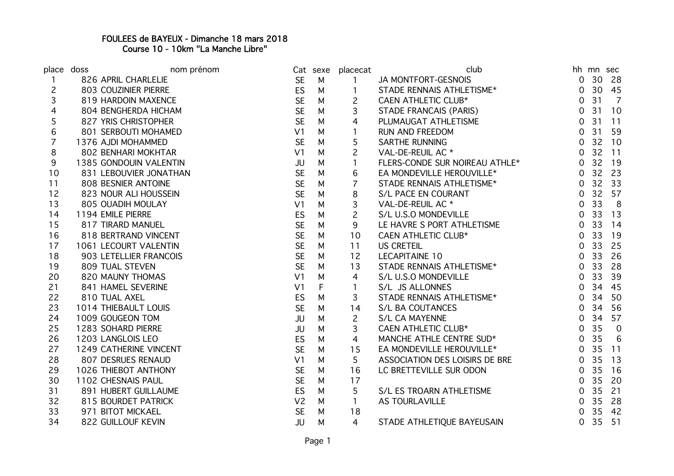## FOULEES de BAYEUX - Dimanche 18 mars 2018 Course 10 - 10km "La Manche Libre"

| place doss     | nom prénom             |                | Cat sexe | placecat       | club                           |                |                 | hh mn sec      |
|----------------|------------------------|----------------|----------|----------------|--------------------------------|----------------|-----------------|----------------|
|                | 826 APRIL CHARLELIE    | <b>SE</b>      | M        | $\mathbf{1}$   | JA MONTFORT-GESNOIS            | 0              |                 | 30 28          |
| $\overline{c}$ | 803 COUZINIER PIERRE   | ES             | M        |                | STADE RENNAIS ATHLETISME*      | 0              |                 | 30 45          |
| 3              | 819 HARDOIN MAXENCE    | <b>SE</b>      | M        | $\overline{c}$ | <b>CAEN ATHLETIC CLUB*</b>     | 0              | 31              | $\overline{7}$ |
| 4              | 804 BENGHERDA HICHAM   | <b>SE</b>      | M        | 3              | STADE FRANCAIS (PARIS)         | 0              | 31              | 10             |
| 5              | 827 YRIS CHRISTOPHER   | <b>SE</b>      | M        | 4              | PLUMAUGAT ATHLETISME           | 0              | 31              | 11             |
| 6              | 801 SERBOUTI MOHAMED   | V <sub>1</sub> | M        | 1              | <b>RUN AND FREEDOM</b>         | 0              | 31              | 59             |
| $\overline{7}$ | 1376 AJDI MOHAMMED     | <b>SE</b>      | M        | 5              | <b>SARTHE RUNNING</b>          | 0              |                 | 32 10          |
| 8              | 802 BENHARI MOKHTAR    | V <sub>1</sub> | M        | $\overline{c}$ | VAL-DE-REUIL AC *              | $\mathbf 0$    |                 | 32 11          |
| 9              | 1385 GONDOUIN VALENTIN | JU             | M        | $\mathbf{1}$   | FLERS-CONDE SUR NOIREAU ATHLE* | $\overline{0}$ |                 | 32 19          |
| 10             | 831 LEBOUVIER JONATHAN | <b>SE</b>      | M        | 6              | EA MONDEVILLE HEROUVILLE*      | 0              | 32              | - 23           |
| 11             | 808 BESNIER ANTOINE    | <b>SE</b>      | M        | $\overline{7}$ | STADE RENNAIS ATHLETISME*      | 0              | 32              | 33             |
| 12             | 823 NOUR ALI HOUSSEIN  | <b>SE</b>      | M        | 8              | S/L PACE EN COURANT            | 0              | 32              | 57             |
| 13             | 805 OUADIH MOULAY      | V <sub>1</sub> | M        | 3              | VAL-DE-REUIL AC *              | 0              | 33              | 8              |
| 14             | 1194 EMILE PIERRE      | <b>ES</b>      | M        | $\overline{c}$ | S/L U.S.O MONDEVILLE           | 0              | 33              | 13             |
| 15             | 817 TIRARD MANUEL      | <b>SE</b>      | M        | 9              | LE HAVRE S PORT ATHLETISME     | 0              | 33              | 14             |
| 16             | 818 BERTRAND VINCENT   | <b>SE</b>      | M        | 10             | <b>CAEN ATHLETIC CLUB*</b>     | $\mathbf 0$    | 33              | 19             |
| 17             | 1061 LECOURT VALENTIN  | <b>SE</b>      | M        | 11             | <b>US CRETEIL</b>              | 0              | 33              | 25             |
| 18             | 903 LETELLIER FRANCOIS | <b>SE</b>      | M        | 12             | LECAPITAINE 10                 | $\Omega$       | 33              | 26             |
| 19             | 809 TUAL STEVEN        | <b>SE</b>      | M        | 13             | STADE RENNAIS ATHLETISME*      | 0              | 33              | 28             |
| 20             | 820 MAUNY THOMAS       | V <sub>1</sub> | M        | 4              | S/L U.S.O MONDEVILLE           | 0              | 33              | 39             |
| 21             | 841 HAMEL SEVERINE     | V <sub>1</sub> | F        | 1              | S/L JS ALLONNES                | 0              | 34              | 45             |
| 22             | 810 TUAL AXEL          | <b>ES</b>      | M        | 3              | STADE RENNAIS ATHLETISME*      | 0              | 34              | 50             |
| 23             | 1014 THIEBAULT LOUIS   | <b>SE</b>      | M        | 14             | <b>S/L BA COUTANCES</b>        | 0              | 34              | 56             |
| 24             | 1009 GOUGEON TOM       | JU             | M        | $\overline{c}$ | S/L CA MAYENNE                 | 0              | 34              | 57             |
| 25             | 1283 SOHARD PIERRE     | JU             | M        | 3              | <b>CAEN ATHLETIC CLUB*</b>     | $\Omega$       | 35              | $\overline{0}$ |
| 26             | 1203 LANGLOIS LEO      | <b>ES</b>      | M        | 4              | MANCHE ATHLE CENTRE SUD*       | 0              | 35              | 6              |
| 27             | 1249 CATHERINE VINCENT | <b>SE</b>      | M        | 15             | EA MONDEVILLE HEROUVILLE*      | 0              | 35              | 11             |
| 28             | 807 DESRUES RENAUD     | V <sub>1</sub> | M        | 5              | ASSOCIATION DES LOISIRS DE BRE | 0              | 35              | 13             |
| 29             | 1026 THIEBOT ANTHONY   | <b>SE</b>      | M        | 16             | LC BRETTEVILLE SUR ODON        | 0              | 35              | 16             |
| 30             | 1102 CHESNAIS PAUL     | <b>SE</b>      | M        | 17             |                                | 0              | 35 <sub>1</sub> | 20             |
| 31             | 891 HUBERT GUILLAUME   | ES             | M        | 5              | S/L ES TROARN ATHLETISME       | 0              |                 | 35 21          |
| 32             | 815 BOURDET PATRICK    | V <sub>2</sub> | M        | $\mathbf{1}$   | <b>AS TOURLAVILLE</b>          | $\Omega$       | 35              | 28             |
| 33             | 971 BITOT MICKAEL      | <b>SE</b>      | M        | 18             |                                | $\Omega$       |                 | 35 42          |
| 34             | 822 GUILLOUF KEVIN     | JU             | M        | 4              | STADE ATHLETIQUE BAYEUSAIN     | 0              |                 | 35 51          |
|                |                        |                |          |                |                                |                |                 |                |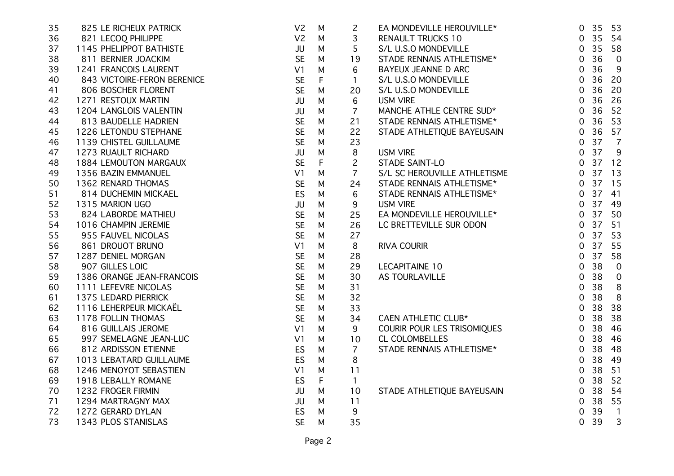| 35 | 825 LE RICHEUX PATRICK      | V <sub>2</sub> | M | $\overline{c}$ | EA MONDEVILLE HEROUVILLE*    | $\overline{0}$       | 35 53                    |
|----|-----------------------------|----------------|---|----------------|------------------------------|----------------------|--------------------------|
| 36 | 821 LECOQ PHILIPPE          | V <sub>2</sub> | M | 3              | <b>RENAULT TRUCKS 10</b>     | 35<br>$\overline{0}$ | 54                       |
| 37 | 1145 PHELIPPOT BATHISTE     | JU             | М | 5              | S/L U.S.O MONDEVILLE         | 35<br>$\overline{0}$ | 58                       |
| 38 | 811 BERNIER JOACKIM         | <b>SE</b>      | М | 19             | STADE RENNAIS ATHLETISME*    | 36<br>0              | $\overline{0}$           |
| 39 | 1241 FRANCOIS LAURENT       | V1             | М | 6              | BAYEUX JEANNE D ARC          | 36<br>0              | 9                        |
| 40 | 843 VICTOIRE-FERON BERENICE | <b>SE</b>      | F | 1              | S/L U.S.O MONDEVILLE         | 36<br>$\mathbf 0$    | 20                       |
| 41 | 806 BOSCHER FLORENT         | <b>SE</b>      | M | 20             | S/L U.S.O MONDEVILLE         | 36<br>0              | 20                       |
| 42 | 1271 RESTOUX MARTIN         | JU             | M | 6              | <b>USM VIRE</b>              | 36<br>0              | 26                       |
| 43 | 1204 LANGLOIS VALENTIN      | JU             | M | $\overline{7}$ | MANCHE ATHLE CENTRE SUD*     | 36<br>$\overline{0}$ | 52                       |
| 44 | 813 BAUDELLE HADRIEN        | <b>SE</b>      | M | 21             | STADE RENNAIS ATHLETISME*    | 36<br>$\overline{0}$ | 53                       |
| 45 | 1226 LETONDU STEPHANE       | <b>SE</b>      | M | 22             | STADE ATHLETIQUE BAYEUSAIN   | 36<br>$\overline{O}$ | 57                       |
| 46 | 1139 CHISTEL GUILLAUME      | <b>SE</b>      | M | 23             |                              | 37<br>$\overline{0}$ | $\overline{7}$           |
| 47 | 1273 RUAULT RICHARD         | JU             | M | 8              | <b>USM VIRE</b>              | 37<br>$\overline{0}$ | -9                       |
| 48 | 1884 LEMOUTON MARGAUX       | <b>SE</b>      | F | $\overline{c}$ | STADE SAINT-LO               | 37<br>$\overline{0}$ | 12                       |
| 49 | 1356 BAZIN EMMANUEL         | V1             | М | $\overline{7}$ | S/L SC HEROUVILLE ATHLETISME | 0.37                 | 13                       |
| 50 | 1362 RENARD THOMAS          | <b>SE</b>      | М | 24             | STADE RENNAIS ATHLETISME*    | 37<br>$\overline{0}$ | 15                       |
| 51 | 814 DUCHEMIN MICKAEL        | ES             | M | 6              | STADE RENNAIS ATHLETISME*    | 37<br>$\overline{0}$ | 41                       |
| 52 | 1315 MARION UGO             | JU             | M | 9              | <b>USM VIRE</b>              | 37<br>$\overline{0}$ | 49                       |
| 53 | 824 LABORDE MATHIEU         | <b>SE</b>      | M | 25             | EA MONDEVILLE HEROUVILLE*    | 37<br>$\overline{0}$ | 50                       |
| 54 | 1016 CHAMPIN JEREMIE        | <b>SE</b>      | M | 26             | LC BRETTEVILLE SUR ODON      | 37<br>$\overline{0}$ | 51                       |
| 55 | 955 FAUVEL NICOLAS          | <b>SE</b>      | M | 27             |                              | 37<br>$\overline{0}$ | 53                       |
| 56 | 861 DROUOT BRUNO            | V1             | M | 8              | <b>RIVA COURIR</b>           | 37<br>$\mathbf 0$    | 55                       |
| 57 | 1287 DENIEL MORGAN          | <b>SE</b>      | M | 28             |                              | 37<br>$\mathbf 0$    | 58                       |
| 58 | 907 GILLES LOIC             | <b>SE</b>      | M | 29             | LECAPITAINE 10               | 38<br>0              | $\overline{0}$           |
| 59 | 1386 ORANGE JEAN-FRANCOIS   | <b>SE</b>      | M | 30             | AS TOURLAVILLE               | 38<br>$\mathbf 0$    | $\overline{0}$           |
| 60 | 1111 LEFEVRE NICOLAS        | <b>SE</b>      | М | 31             |                              | 38<br>0              | 8                        |
| 61 | 1375 LEDARD PIERRICK        | <b>SE</b>      | M | 32             |                              | 38<br>0              | 8                        |
| 62 | 1116 LEHERPEUR MICKAËL      | <b>SE</b>      | М | 33             |                              | 38<br>0              | 38                       |
| 63 | 1178 FOLLIN THOMAS          | <b>SE</b>      | M | 34             | CAEN ATHLETIC CLUB*          | 38<br>0              | 38                       |
| 64 | 816 GUILLAIS JEROME         | V1             | M | 9              | COURIR POUR LES TRISOMIQUES  | 38<br>$\overline{0}$ | 46                       |
| 65 | 997 SEMELAGNE JEAN-LUC      | V <sub>1</sub> | M | 10             | CL COLOMBELLES               | 38<br>$\overline{0}$ | 46                       |
| 66 | 812 ARDISSON ETIENNE        | ES             | M | $\overline{7}$ | STADE RENNAIS ATHLETISME*    | 38<br>0              | 48                       |
| 67 | 1013 LEBATARD GUILLAUME     | ES             | M | 8              |                              | 38<br>$\mathbf 0$    | 49                       |
| 68 | 1246 MENOYOT SEBASTIEN      | V1             | M | 11             |                              | 38<br>$\mathbf 0$    | 51                       |
| 69 | 1918 LEBALLY ROMANE         | ES             | F | $\mathbf{1}$   |                              | 38<br>$\overline{0}$ | 52                       |
| 70 | 1232 FROGER FIRMIN          | JU             | M | 10             | STADE ATHLETIQUE BAYEUSAIN   | 38<br>$\overline{0}$ | 54                       |
| 71 | 1294 MARTRAGNY MAX          | JU             | M | 11             |                              | 38<br>$\overline{0}$ | 55                       |
| 72 | 1272 GERARD DYLAN           | ES             | м | 9              |                              | 39<br>0              | $\overline{\phantom{a}}$ |
| 73 | 1343 PLOS STANISLAS         | <b>SE</b>      | M | 35             |                              | 39<br>$\overline{O}$ | 3                        |
|    |                             |                |   |                |                              |                      |                          |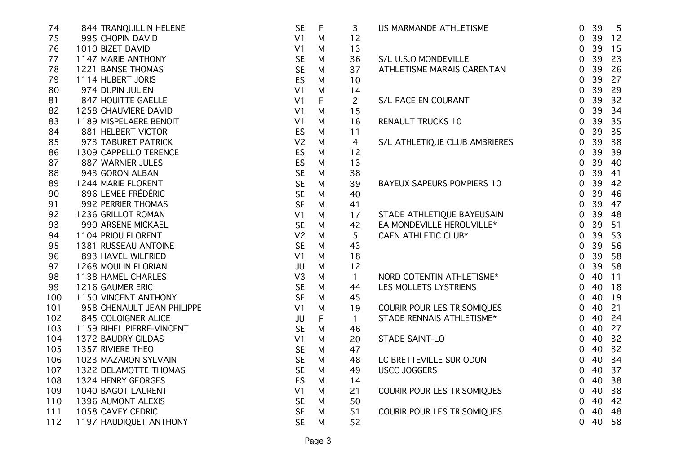| 74  | 844 TRANQUILLIN HELENE     | <b>SE</b>      | $\mathsf F$ | 3            | US MARMANDE ATHLETISME            | $\overline{0}$ | 39    | 5  |
|-----|----------------------------|----------------|-------------|--------------|-----------------------------------|----------------|-------|----|
| 75  | 995 CHOPIN DAVID           | V <sub>1</sub> | M           | 12           |                                   | $\mathbf 0$    | 39 12 |    |
| 76  | 1010 BIZET DAVID           | V <sub>1</sub> | M           | 13           |                                   | $\mathbf 0$    | 39    | 15 |
| 77  | 1147 MARIE ANTHONY         | <b>SE</b>      | M           | 36           | S/L U.S.O MONDEVILLE              | $\overline{0}$ | 39    | 23 |
| 78  | 1221 BANSE THOMAS          | <b>SE</b>      | M           | 37           | ATHLETISME MARAIS CARENTAN        | $\overline{0}$ | 39    | 26 |
| 79  | 1114 HUBERT JORIS          | ES             | M           | 10           |                                   | $\overline{0}$ | 39    | 27 |
| 80  | 974 DUPIN JULIEN           | V <sub>1</sub> | M           | 14           |                                   | $\mathbf 0$    | 39    | 29 |
| 81  | 847 HOUITTE GAELLE         | V <sub>1</sub> | F           | $\mathsf{S}$ | S/L PACE EN COURANT               | $\mathbf 0$    | 39    | 32 |
| 82  | 1258 CHAUVIERE DAVID       | V <sub>1</sub> | M           | 15           |                                   | $\overline{0}$ | 39    | 34 |
| 83  | 1189 MISPELAERE BENOIT     | V <sub>1</sub> | M           | 16           | <b>RENAULT TRUCKS 10</b>          | $\overline{0}$ | 39    | 35 |
| 84  | 881 HELBERT VICTOR         | ES             | M           | 11           |                                   | $\overline{0}$ | 39    | 35 |
| 85  | 973 TABURET PATRICK        | V <sub>2</sub> | M           | 4            | S/L ATHLETIQUE CLUB AMBRIERES     | $\overline{0}$ | 39    | 38 |
| 86  | 1309 CAPPELLO TERENCE      | ES             | M           | 12           |                                   | $\mathbf 0$    | 39    | 39 |
| 87  | 887 WARNIER JULES          | ES             | M           | 13           |                                   | $\mathbf 0$    | 39    | 40 |
| 88  | 943 GORON ALBAN            | <b>SE</b>      | M           | 38           |                                   | $\mathbf 0$    | 39    | 41 |
| 89  | 1244 MARIE FLORENT         | <b>SE</b>      | M           | 39           | <b>BAYEUX SAPEURS POMPIERS 10</b> | $\overline{0}$ | 39    | 42 |
| 90  | 896 LEMEE FRÉDÉRIC         | <b>SE</b>      | M           | 40           |                                   | $\overline{0}$ | 39    | 46 |
| 91  | 992 PERRIER THOMAS         | <b>SE</b>      | M           | 41           |                                   | $\overline{0}$ | 39    | 47 |
| 92  | 1236 GRILLOT ROMAN         | V <sub>1</sub> | M           | 17           | STADE ATHLETIQUE BAYEUSAIN        | $\overline{0}$ | 39    | 48 |
| 93  | 990 ARSENE MICKAEL         | <b>SE</b>      | M           | 42           | EA MONDEVILLE HEROUVILLE*         | $\overline{0}$ | 39    | 51 |
| 94  | 1104 PRIOU FLORENT         | V <sub>2</sub> | M           | 5            | CAEN ATHLETIC CLUB*               | $\overline{0}$ | 39    | 53 |
| 95  | 1381 RUSSEAU ANTOINE       | <b>SE</b>      | M           | 43           |                                   | $\mathbf 0$    | 39    | 56 |
| 96  | 893 HAVEL WILFRIED         | V <sub>1</sub> | M           | 18           |                                   | $\mathbf 0$    | 39    | 58 |
| 97  | 1268 MOULIN FLORIAN        | <b>JU</b>      | M           | 12           |                                   | $\overline{0}$ | 39    | 58 |
| 98  | 1138 HAMEL CHARLES         | V3             | M           | $\mathbf{1}$ | NORD COTENTIN ATHLETISME*         | $\mathbf 0$    | 40    | 11 |
| 99  | 1216 GAUMER ERIC           | <b>SE</b>      | M           | 44           | LES MOLLETS LYSTRIENS             | $\mathbf 0$    | 40    | 18 |
| 100 | 1150 VINCENT ANTHONY       | <b>SE</b>      | M           | 45           |                                   | $\mathbf 0$    | 40    | 19 |
| 101 | 958 CHENAULT JEAN PHILIPPE | V <sub>1</sub> | M           | 19           | COURIR POUR LES TRISOMIQUES       | $\overline{0}$ | 40    | 21 |
| 102 | 845 COLOIGNER ALICE        | JU             | F           | $\mathbf{1}$ | STADE RENNAIS ATHLETISME*         | $\mathbf 0$    | 40    | 24 |
| 103 | 1159 BIHEL PIERRE-VINCENT  | <b>SE</b>      | M           | 46           |                                   | $\mathbf 0$    | 40    | 27 |
| 104 | 1372 BAUDRY GILDAS         | V <sub>1</sub> | M           | 20           | STADE SAINT-LO                    | $\mathbf 0$    | 40    | 32 |
| 105 | 1357 RIVIERE THEO          | <b>SE</b>      | M           | 47           |                                   | $\mathbf 0$    | 40    | 32 |
| 106 | 1023 MAZARON SYLVAIN       | <b>SE</b>      | M           | 48           | LC BRETTEVILLE SUR ODON           | $\overline{0}$ | 40    | 34 |
| 107 | 1322 DELAMOTTE THOMAS      | <b>SE</b>      | M           | 49           | <b>USCC JOGGERS</b>               | $\overline{0}$ | 40    | 37 |
| 108 | 1324 HENRY GEORGES         | ES             | M           | 14           |                                   | $\mathbf 0$    | 40    | 38 |
| 109 | 1040 BAGOT LAURENT         | V <sub>1</sub> | M           | 21           | COURIR POUR LES TRISOMIQUES       | $\mathbf 0$    | 40    | 38 |
| 110 | 1396 AUMONT ALEXIS         | <b>SE</b>      | M           | 50           |                                   | $\mathbf 0$    | 40    | 42 |
| 111 | 1058 CAVEY CEDRIC          | <b>SE</b>      | M           | 51           | COURIR POUR LES TRISOMIQUES       | 0              | 40    | 48 |
| 112 | 1197 HAUDIQUET ANTHONY     | <b>SE</b>      | M           | 52           |                                   | 0              | 40    | 58 |
|     |                            |                |             |              |                                   |                |       |    |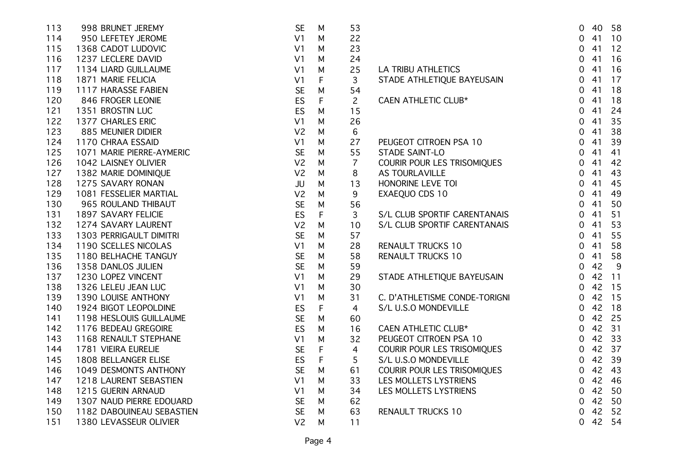| 998 BRUNET JEREMY         | <b>SE</b>      | M | 53             |                               | 0                                                                           |    | 40 58                      |
|---------------------------|----------------|---|----------------|-------------------------------|-----------------------------------------------------------------------------|----|----------------------------|
| 950 LEFETEY JEROME        | V <sub>1</sub> | M | 22             |                               | 0                                                                           | 41 | 10                         |
| 1368 CADOT LUDOVIC        | V <sub>1</sub> | M | 23             |                               | $\mathbf 0$                                                                 | 41 | 12                         |
| 1237 LECLERE DAVID        | V <sub>1</sub> | M | 24             |                               | 0                                                                           | 41 | 16                         |
| 1134 LIARD GUILLAUME      | V <sub>1</sub> | M | 25             | LA TRIBU ATHLETICS            | $\overline{0}$                                                              | 41 | 16                         |
| 1871 MARIE FELICIA        | V <sub>1</sub> | F | 3              |                               | $\overline{0}$                                                              | 41 | 17                         |
| 1117 HARASSE FABIEN       | <b>SE</b>      | M | 54             |                               | 0                                                                           | 41 | 18                         |
| 846 FROGER LEONIE         | ES             | F | $\overline{2}$ | CAEN ATHLETIC CLUB*           | 0                                                                           | 41 | 18                         |
| 1351 BROSTIN LUC          | ES             | M | 15             |                               | $\mathbf 0$                                                                 | 41 | 24                         |
| 1377 CHARLES ERIC         | V <sub>1</sub> | M | 26             |                               | $\mathbf 0$                                                                 | 41 | 35                         |
| 885 MEUNIER DIDIER        | V <sub>2</sub> | M | 6              |                               | 0                                                                           | 41 | 38                         |
| 1170 CHRAA ESSAID         | V <sub>1</sub> | M | 27             | PEUGEOT CITROEN PSA 10        | 0                                                                           | 41 | 39                         |
| 1071 MARIE PIERRE-AYMERIC | <b>SE</b>      | M | 55             | STADE SAINT-LO                | 0                                                                           | 41 | 41                         |
| 1042 LAISNEY OLIVIER      | V <sub>2</sub> | M | $\overline{7}$ | COURIR POUR LES TRISOMIQUES   | 0                                                                           | 41 | 42                         |
| 1382 MARIE DOMINIQUE      | V <sub>2</sub> | M | 8              | <b>AS TOURLAVILLE</b>         | 0                                                                           | 41 | 43                         |
| 1275 SAVARY RONAN         | JU             | M | 13             | HONORINE LEVE TOI             | $\mathbf 0$                                                                 | 41 | 45                         |
| 1081 FESSELIER MARTIAL    | V <sub>2</sub> | M | 9              |                               | $\overline{0}$                                                              | 41 | 49                         |
| 965 ROULAND THIBAUT       | <b>SE</b>      | М | 56             |                               | 0                                                                           | 41 | 50                         |
| 1897 SAVARY FELICIE       | ES             | F | 3              | S/L CLUB SPORTIF CARENTANAIS  | 0                                                                           | 41 | 51                         |
| 1274 SAVARY LAURENT       | V <sub>2</sub> | M | 10             | S/L CLUB SPORTIF CARENTANAIS  | 0                                                                           | 41 | 53                         |
| 1303 PERRIGAULT DIMITRI   | <b>SE</b>      | M | 57             |                               | 0                                                                           | 41 | 55                         |
| 1190 SCELLES NICOLAS      | V <sub>1</sub> | M | 28             | <b>RENAULT TRUCKS 10</b>      | 0                                                                           | 41 | 58                         |
| 1180 BELHACHE TANGUY      | <b>SE</b>      | M | 58             | <b>RENAULT TRUCKS 10</b>      | 0                                                                           | 41 | 58                         |
| 1358 DANLOS JULIEN        | <b>SE</b>      | M | 59             |                               | 0                                                                           | 42 | 9                          |
| 1230 LOPEZ VINCENT        | V <sub>1</sub> | M | 29             | STADE ATHLETIQUE BAYEUSAIN    | 0                                                                           |    | 11                         |
| 1326 LELEU JEAN LUC       | V <sub>1</sub> | M | 30             |                               | 0                                                                           |    | 42 15                      |
| 1390 LOUISE ANTHONY       | V <sub>1</sub> | M | 31             | C. D'ATHLETISME CONDE-TORIGNI | $\mathbf 0$                                                                 |    | 42 15                      |
| 1924 BIGOT LEOPOLDINE     | ES             | F | 4              | S/L U.S.O MONDEVILLE          | $\mathbf 0$                                                                 | 42 | 18                         |
| 1198 HESLOUIS GUILLAUME   | <b>SE</b>      | M | 60             |                               | 0                                                                           |    | 42 25                      |
| 1176 BEDEAU GREGOIRE      | ES             | M | 16             | CAEN ATHLETIC CLUB*           | $\overline{0}$                                                              |    | 42 31                      |
| 1168 RENAULT STEPHANE     | V <sub>1</sub> | M | 32             | PEUGEOT CITROEN PSA 10        | $\overline{0}$                                                              |    | 42 33                      |
| 1781 VIEIRA EURELIE       | <b>SE</b>      | F | 4              | COURIR POUR LES TRISOMIQUES   | 0                                                                           |    | 42 37                      |
| 1808 BELLANGER ELISE      | <b>ES</b>      | F | 5              | S/L U.S.O MONDEVILLE          | 0                                                                           |    | 42 39                      |
| 1049 DESMONTS ANTHONY     | <b>SE</b>      | M | 61             |                               | 0                                                                           | 42 | 43                         |
| 1218 LAURENT SEBASTIEN    | V <sub>1</sub> | M | 33             | LES MOLLETS LYSTRIENS         | 0                                                                           | 42 | 46                         |
| 1215 GUERIN ARNAUD        | V <sub>1</sub> | M | 34             | LES MOLLETS LYSTRIENS         | 0                                                                           |    | 50                         |
| 1307 NAUD PIERRE EDOUARD  | <b>SE</b>      | M | 62             |                               | 0                                                                           |    | 50                         |
| 1182 DABOUINEAU SEBASTIEN | <b>SE</b>      | M | 63             | <b>RENAULT TRUCKS 10</b>      | $\mathbf 0$                                                                 |    | 52                         |
| 1380 LEVASSEUR OLIVIER    | V <sub>2</sub> | M | 11             |                               | 0                                                                           |    | 54                         |
|                           |                |   |                |                               | STADE ATHLETIQUE BAYEUSAIN<br>EXAEQUO CDS 10<br>COURIR POUR LES TRISOMIQUES |    | 42<br>42<br>42<br>42<br>42 |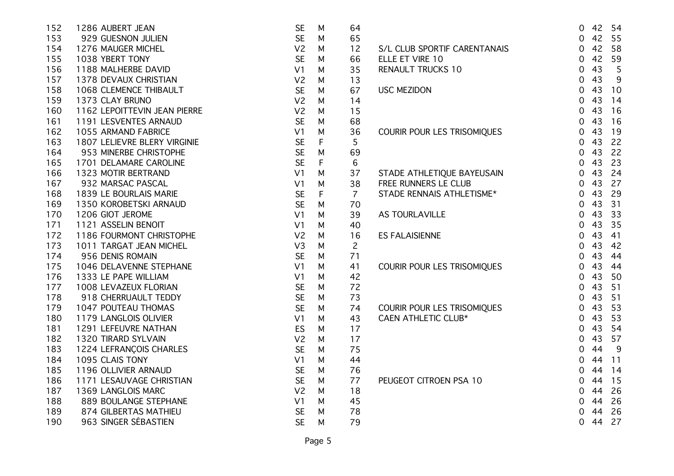| 152 | 1286 AUBERT JEAN             | <b>SE</b>      | M           | 64             |                              | $\overline{0}$ |    | 42 54 |
|-----|------------------------------|----------------|-------------|----------------|------------------------------|----------------|----|-------|
| 153 | 929 GUESNON JULIEN           | <b>SE</b>      | M           | 65             |                              | $\overline{0}$ |    | 42 55 |
| 154 | 1276 MAUGER MICHEL           | V <sub>2</sub> | M           | 12             | S/L CLUB SPORTIF CARENTANAIS | 0              | 42 | 58    |
| 155 | 1038 YBERT TONY              | <b>SE</b>      | M           | 66             | ELLE ET VIRE 10              | $\mathbf 0$    | 42 | 59    |
| 156 | 1188 MALHERBE DAVID          | V <sub>1</sub> | М           | 35             | <b>RENAULT TRUCKS 10</b>     | $\mathbf 0$    | 43 | 5     |
| 157 | 1378 DEVAUX CHRISTIAN        | V <sub>2</sub> | М           | 13             |                              | 0              | 43 | $9\,$ |
| 158 | 1068 CLEMENCE THIBAULT       | <b>SE</b>      | М           | 67             | <b>USC MEZIDON</b>           | $\mathbf 0$    | 43 | 10    |
| 159 | 1373 CLAY BRUNO              | V <sub>2</sub> | М           | 14             |                              | 0              | 43 | 14    |
| 160 | 1162 LEPOITTEVIN JEAN PIERRE | V <sub>2</sub> | M           | 15             |                              | $\overline{0}$ | 43 | 16    |
| 161 | 1191 LESVENTES ARNAUD        | <b>SE</b>      | М           | 68             |                              | $\overline{0}$ | 43 | 16    |
| 162 | 1055 ARMAND FABRICE          | V <sub>1</sub> | M           | 36             | COURIR POUR LES TRISOMIQUES  | $\overline{0}$ | 43 | 19    |
| 163 | 1807 LELIEVRE BLERY VIRGINIE | <b>SE</b>      | $\mathsf F$ | 5              |                              | $\overline{0}$ | 43 | 22    |
| 164 | 953 MINERBE CHRISTOPHE       | <b>SE</b>      | M           | 69             |                              | $\overline{0}$ | 43 | 22    |
| 165 | 1701 DELAMARE CAROLINE       | <b>SE</b>      | F           | 6              |                              | $\mathbf 0$    | 43 | 23    |
| 166 | 1323 MOTIR BERTRAND          | V <sub>1</sub> | М           | 37             | STADE ATHLETIQUE BAYEUSAIN   | $\overline{0}$ | 43 | 24    |
| 167 | 932 MARSAC PASCAL            | V <sub>1</sub> | M           | 38             | FREE RUNNERS LE CLUB         | $\overline{0}$ | 43 | 27    |
| 168 | 1839 LE BOURLAIS MARIE       | <b>SE</b>      | F           | $\overline{7}$ | STADE RENNAIS ATHLETISME*    | $\overline{0}$ | 43 | 29    |
| 169 | 1350 KOROBETSKI ARNAUD       | <b>SE</b>      | М           | 70             |                              | 0              | 43 | 31    |
| 170 | 1206 GIOT JEROME             | V <sub>1</sub> | М           | 39             | AS TOURLAVILLE               | $\mathbf 0$    | 43 | 33    |
| 171 | 1121 ASSELIN BENOIT          | V <sub>1</sub> | М           | 40             |                              | $\overline{0}$ | 43 | 35    |
| 172 | 1186 FOURMONT CHRISTOPHE     | V <sub>2</sub> | M           | 16             | <b>ES FALAISIENNE</b>        | $\overline{0}$ | 43 | 41    |
| 173 | 1011 TARGAT JEAN MICHEL      | V <sub>3</sub> | M           | $\overline{2}$ |                              | 0              | 43 | 42    |
| 174 | 956 DENIS ROMAIN             | <b>SE</b>      | M           | 71             |                              | $\overline{0}$ | 43 | 44    |
| 175 | 1046 DELAVENNE STEPHANE      | V <sub>1</sub> | M           | 41             | COURIR POUR LES TRISOMIQUES  | $\mathbf 0$    | 43 | 44    |
| 176 | 1333 LE PAPE WILLIAM         | V <sub>1</sub> | M           | 42             |                              | $\mathbf 0$    | 43 | 50    |
| 177 | 1008 LEVAZEUX FLORIAN        | <b>SE</b>      | M           | 72             |                              | 0              | 43 | 51    |
| 178 | 918 CHERRUAULT TEDDY         | <b>SE</b>      | M           | 73             |                              | 0              | 43 | 51    |
| 179 | 1047 POUTEAU THOMAS          | <b>SE</b>      | М           | 74             | COURIR POUR LES TRISOMIQUES  | $\overline{0}$ | 43 | 53    |
| 180 | 1179 LANGLOIS OLIVIER        | V <sub>1</sub> | М           | 43             | <b>CAEN ATHLETIC CLUB*</b>   | 0              | 43 | 53    |
| 181 | 1291 LEFEUVRE NATHAN         | ES             | M           | 17             |                              | 0              | 43 | 54    |
| 182 | 1320 TIRARD SYLVAIN          | V <sub>2</sub> | M           | 17             |                              | $\mathbf 0$    | 43 | 57    |
| 183 | 1224 LEFRANÇOIS CHARLES      | <b>SE</b>      | М           | 75             |                              | 0              | 44 | 9     |
| 184 | 1095 CLAIS TONY              | V <sub>1</sub> | M           | 44             |                              | 0              | 44 | 11    |
| 185 | 1196 OLLIVIER ARNAUD         | <b>SE</b>      | М           | 76             |                              | $\overline{0}$ | 44 | 14    |
| 186 | 1171 LESAUVAGE CHRISTIAN     | <b>SE</b>      | M           | 77             | PEUGEOT CITROEN PSA 10       | 0              | 44 | 15    |
| 187 | 1369 LANGLOIS MARC           | V <sub>2</sub> | M           | 18             |                              | 0              | 44 | 26    |
| 188 | 889 BOULANGE STEPHANE        | V <sub>1</sub> | M           | 45             |                              | 0              | 44 | 26    |
| 189 | 874 GILBERTAS MATHIEU        | <b>SE</b>      | М           | 78             |                              | 0              | 44 | 26    |
| 190 | 963 SINGER SÉBASTIEN         | <b>SE</b>      | M           | 79             |                              | 0              | 44 | 27    |
|     |                              |                |             |                |                              |                |    |       |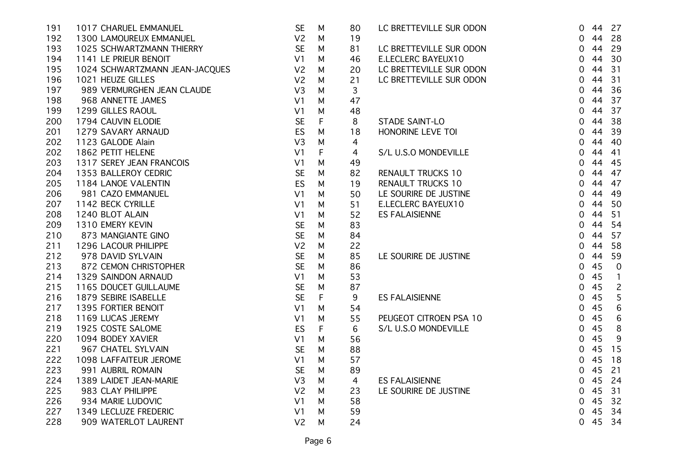| 191 | 1017 CHARUEL EMMANUEL          | <b>SE</b>      | M | 80 | LC BRETTEVILLE SUR ODON  | $\overline{0}$ |    | 44 27          |
|-----|--------------------------------|----------------|---|----|--------------------------|----------------|----|----------------|
| 192 | 1300 LAMOUREUX EMMANUEL        | V <sub>2</sub> | M | 19 |                          | $\overline{0}$ | 44 | 28             |
| 193 | 1025 SCHWARTZMANN THIERRY      | <b>SE</b>      | M | 81 | LC BRETTEVILLE SUR ODON  | $\mathbf 0$    | 44 | 29             |
| 194 | 1141 LE PRIEUR BENOIT          | V <sub>1</sub> | M | 46 | E.LECLERC BAYEUX10       | $\overline{0}$ | 44 | 30             |
| 195 | 1024 SCHWARTZMANN JEAN-JACQUES | V <sub>2</sub> | M | 20 | LC BRETTEVILLE SUR ODON  | $\overline{0}$ | 44 | 31             |
| 196 | 1021 HEUZE GILLES              | V <sub>2</sub> | M | 21 | LC BRETTEVILLE SUR ODON  | $\mathbf 0$    | 44 | 31             |
| 197 | 989 VERMURGHEN JEAN CLAUDE     | V <sub>3</sub> | M | 3  |                          | 0              | 44 | 36             |
| 198 | 968 ANNETTE JAMES              | V <sub>1</sub> | M | 47 |                          | $\mathbf 0$    | 44 | 37             |
| 199 | 1299 GILLES RAOUL              | V <sub>1</sub> | M | 48 |                          | 0              | 44 | 37             |
| 200 | 1794 CAUVIN ELODIE             | <b>SE</b>      | F | 8  | STADE SAINT-LO           | $\overline{0}$ | 44 | 38             |
| 201 | 1279 SAVARY ARNAUD             | ES             | M | 18 | HONORINE LEVE TOI        | 0              | 44 | 39             |
| 202 | 1123 GALODE Alain              | V <sub>3</sub> | M | 4  |                          | $\mathbf 0$    | 44 | -40            |
| 202 | 1862 PETIT HELENE              | V <sub>1</sub> | F | 4  | S/L U.S.O MONDEVILLE     | $\mathbf 0$    | 44 | 41             |
| 203 | 1317 SEREY JEAN FRANCOIS       | V <sub>1</sub> | M | 49 |                          | 0              | 44 | 45             |
| 204 | 1353 BALLEROY CEDRIC           | <b>SE</b>      | M | 82 | <b>RENAULT TRUCKS 10</b> | 0              | 44 | 47             |
| 205 | 1184 LANOE VALENTIN            | ES             | M | 19 | <b>RENAULT TRUCKS 10</b> | 0              | 44 | -47            |
| 206 | 981 CAZO EMMANUEL              | V <sub>1</sub> | м | 50 | LE SOURIRE DE JUSTINE    | 0              | 44 | 49             |
| 207 | 1142 BECK CYRILLE              | V <sub>1</sub> | м | 51 | E.LECLERC BAYEUX10       | 0              | 44 | 50             |
| 208 | 1240 BLOT ALAIN                | V <sub>1</sub> | M | 52 | <b>ES FALAISIENNE</b>    | 0              | 44 | 51             |
| 209 | 1310 EMERY KEVIN               | <b>SE</b>      | M | 83 |                          | 0              | 44 | 54             |
| 210 | 873 MANGIANTE GINO             | <b>SE</b>      | M | 84 |                          | $\mathbf 0$    | 44 | 57             |
| 211 | 1296 LACOUR PHILIPPE           | V <sub>2</sub> | M | 22 |                          | $\overline{0}$ | 44 | 58             |
| 212 | 978 DAVID SYLVAIN              | <b>SE</b>      | M | 85 | LE SOURIRE DE JUSTINE    | 0              | 44 | 59             |
| 213 | 872 CEMON CHRISTOPHER          | <b>SE</b>      | M | 86 |                          | $\overline{0}$ | 45 | $\overline{0}$ |
| 214 | 1329 SAINDON ARNAUD            | V <sub>1</sub> | M | 53 |                          | $\mathbf 0$    | 45 | $\overline{1}$ |
| 215 | 1165 DOUCET GUILLAUME          | <b>SE</b>      | M | 87 |                          | $\mathbf 0$    | 45 | $\overline{2}$ |
| 216 | 1879 SEBIRE ISABELLE           | <b>SE</b>      | F | 9  | <b>ES FALAISIENNE</b>    | $\mathbf 0$    | 45 | 5              |
| 217 | 1395 FORTIER BENOIT            | V <sub>1</sub> | M | 54 |                          | 0              | 45 | 6              |
| 218 | 1169 LUCAS JEREMY              | V <sub>1</sub> | M | 55 | PEUGEOT CITROEN PSA 10   | 0              | 45 | 6              |
| 219 | 1925 COSTE SALOME              | ES             | F | 6  | S/L U.S.O MONDEVILLE     | 0              | 45 | 8              |
| 220 | 1094 BODEY XAVIER              | V <sub>1</sub> | M | 56 |                          | 0              | 45 | 9              |
| 221 | 967 CHATEL SYLVAIN             | <b>SE</b>      | M | 88 |                          | 0              | 45 | 15             |
| 222 | 1098 LAFFAITEUR JEROME         | V <sub>1</sub> | M | 57 |                          | 0              | 45 | 18             |
| 223 | 991 AUBRIL ROMAIN              | <b>SE</b>      | M | 89 |                          | $\overline{0}$ | 45 | 21             |
| 224 | 1389 LAIDET JEAN-MARIE         | V <sub>3</sub> | M | 4  | <b>ES FALAISIENNE</b>    | $\overline{0}$ | 45 | 24             |
| 225 | 983 CLAY PHILIPPE              | V <sub>2</sub> | M | 23 | LE SOURIRE DE JUSTINE    | $\overline{0}$ | 45 | 31             |
| 226 | 934 MARIE LUDOVIC              | V <sub>1</sub> | M | 58 |                          | $\Omega$       | 45 | 32             |
| 227 | 1349 LECLUZE FREDERIC          | V <sub>1</sub> | М | 59 |                          | 0              | 45 | 34             |
| 228 | 909 WATERLOT LAURENT           | V <sub>2</sub> | M | 24 |                          | $\overline{0}$ | 45 | 34             |
|     |                                |                |   |    |                          |                |    |                |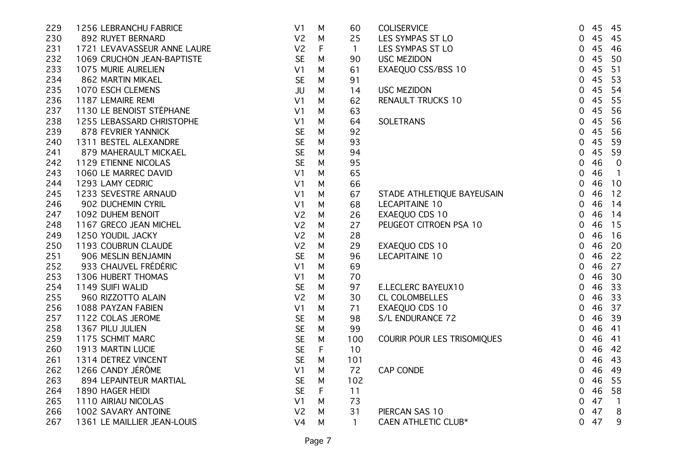| 229 | 1256 LEBRANCHU FABRICE      | V <sub>1</sub> | M           | 60           | <b>COLISERVICE</b>          | $\overline{0}$ | 45 | 45             |
|-----|-----------------------------|----------------|-------------|--------------|-----------------------------|----------------|----|----------------|
| 230 | 892 RUYET BERNARD           | V <sub>2</sub> | M           | 25           | LES SYMPAS ST LO            | $\overline{0}$ | 45 | 45             |
| 231 | 1721 LEVAVASSEUR ANNE LAURE | V <sub>2</sub> | F           | $\mathbf{1}$ | LES SYMPAS ST LO            | $\mathbf 0$    | 45 | 46             |
| 232 | 1069 CRUCHON JEAN-BAPTISTE  | <b>SE</b>      | M           | 90           | <b>USC MEZIDON</b>          | 0              | 45 | 50             |
| 233 | 1075 MURIE AURELIEN         | V <sub>1</sub> | M           | 61           | EXAEQUO CSS/BSS 10          | 0              | 45 | 51             |
| 234 | 862 MARTIN MIKAEL           | <b>SE</b>      | M           | 91           |                             | $\mathbf 0$    | 45 | 53             |
| 235 | 1070 ESCH CLEMENS           | JU             | M           | 14           | <b>USC MEZIDON</b>          | 0              | 45 | 54             |
| 236 | 1187 LEMAIRE REMI           | V <sub>1</sub> | M           | 62           | RENAULT TRUCKS 10           | 0              | 45 | 55             |
| 237 | 1130 LE BENOIST STÉPHANE    | V <sub>1</sub> | M           | 63           |                             | $\overline{0}$ | 45 | 56             |
| 238 | 1255 LEBASSARD CHRISTOPHE   | V <sub>1</sub> | M           | 64           | SOLETRANS                   | $\overline{0}$ | 45 | 56             |
| 239 | 878 FEVRIER YANNICK         | <b>SE</b>      | M           | 92           |                             | $\overline{0}$ | 45 | 56             |
| 240 | 1311 BESTEL ALEXANDRE       | <b>SE</b>      | M           | 93           |                             | $\overline{0}$ | 45 | 59             |
| 241 | 879 MAHERAULT MICKAEL       | <b>SE</b>      | M           | 94           |                             | $\overline{0}$ | 45 | 59             |
| 242 | 1129 ETIENNE NICOLAS        | <b>SE</b>      | M           | 95           |                             | 0              | 46 | $\overline{0}$ |
| 243 | 1060 LE MARREC DAVID        | V <sub>1</sub> | M           | 65           |                             | 0              | 46 | $\overline{1}$ |
| 244 | 1293 LAMY CEDRIC            | V <sub>1</sub> | M           | 66           |                             | $\overline{0}$ | 46 | 10             |
| 245 | 1233 SEVESTRE ARNAUD        | V <sub>1</sub> | M           | 67           | STADE ATHLETIQUE BAYEUSAIN  | $\overline{0}$ | 46 | 12             |
| 246 | 902 DUCHEMIN CYRIL          | V <sub>1</sub> | M           | 68           | <b>LECAPITAINE 10</b>       | $\overline{0}$ | 46 | 14             |
| 247 | 1092 DUHEM BENOIT           | V <sub>2</sub> | M           | 26           | EXAEQUO CDS 10              | $\mathbf 0$    | 46 | 14             |
| 248 | 1167 GRECO JEAN MICHEL      | V <sub>2</sub> | M           | 27           | PEUGEOT CITROEN PSA 10      | $\mathbf 0$    | 46 | 15             |
| 249 | 1250 YOUDIL JACKY           | V <sub>2</sub> | M           | 28           |                             | $\overline{0}$ | 46 | 16             |
| 250 | 1193 COUBRUN CLAUDE         | V <sub>2</sub> | M           | 29           | EXAEQUO CDS 10              | $\overline{0}$ | 46 | 20             |
| 251 | 906 MESLIN BENJAMIN         | <b>SE</b>      | M           | 96           | LECAPITAINE 10              | $\mathbf 0$    | 46 | 22             |
| 252 | 933 CHAUVEL FRÉDÉRIC        | V <sub>1</sub> | M           | 69           |                             | $\overline{0}$ | 46 | 27             |
| 253 | 1306 HUBERT THOMAS          | V <sub>1</sub> | M           | 70           |                             | 0              | 46 | 30             |
| 254 | 1149 SUIFI WALID            | <b>SE</b>      | M           | 97           | E.LECLERC BAYEUX10          | $\mathbf 0$    | 46 | 33             |
| 255 | 960 RIZZOTTO ALAIN          | V <sub>2</sub> | М           | 30           | CL COLOMBELLES              | $\overline{0}$ | 46 | 33             |
| 256 | 1088 PAYZAN FABIEN          | V <sub>1</sub> | M           | 71           | EXAEQUO CDS 10              | $\mathbf 0$    | 46 | 37             |
| 257 | 1122 COLAS JEROME           | <b>SE</b>      | M           | 98           | S/L ENDURANCE 72            | 0              | 46 | 39             |
| 258 | 1367 PILU JULIEN            | <b>SE</b>      | M           | 99           |                             | 0              | 46 | 41             |
| 259 | 1175 SCHMIT MARC            | <b>SE</b>      | M           | 100          | COURIR POUR LES TRISOMIQUES | 0              | 46 | 41             |
| 260 | 1913 MARTIN LUCIE           | <b>SE</b>      | $\mathsf F$ | 10           |                             | 0              | 46 | 42             |
| 261 | 1314 DETREZ VINCENT         | <b>SE</b>      | M           | 101          |                             | $\overline{0}$ | 46 | 43             |
| 262 | 1266 CANDY JÉRÔME           | V <sub>1</sub> | M           | 72           | CAP CONDE                   | 0              | 46 | 49             |
| 263 | 894 LEPAINTEUR MARTIAL      | <b>SE</b>      | M           | 102          |                             | 0              | 46 | 55             |
| 264 | 1890 HAGER HEIDI            | <b>SE</b>      | $\mathsf F$ | 11           |                             | $\mathbf 0$    | 46 | 58             |
| 265 | 1110 AIRIAU NICOLAS         | V <sub>1</sub> | M           | 73           |                             | 0              | 47 | $\overline{1}$ |
| 266 | 1002 SAVARY ANTOINE         | V <sub>2</sub> | M           | 31           | PIERCAN SAS 10              | 0              | 47 | 8              |
| 267 | 1361 LE MAILLIER JEAN-LOUIS | V <sub>4</sub> | M           | 1.           | CAEN ATHLETIC CLUB*         | 0              | 47 | 9              |
|     |                             |                |             |              |                             |                |    |                |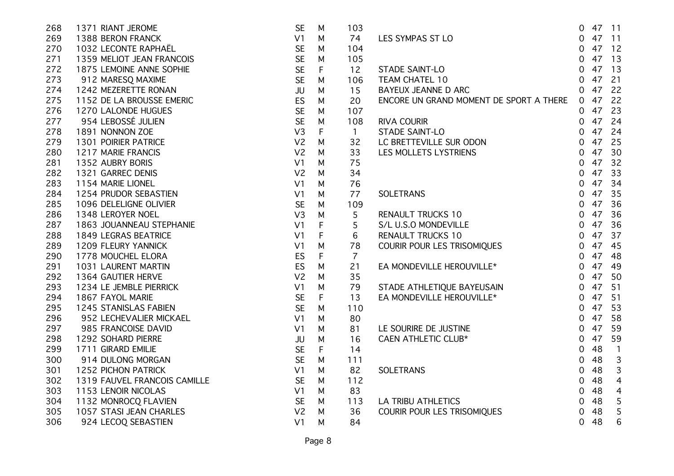| 1371 RIANT JEROME            | <b>SE</b>      | M           | 103            |                                         | 0                                                                                                          |    | 47 11          |
|------------------------------|----------------|-------------|----------------|-----------------------------------------|------------------------------------------------------------------------------------------------------------|----|----------------|
| 1388 BERON FRANCK            | V1             | M           | 74             | LES SYMPAS ST LO                        | 0                                                                                                          |    |                |
| 1032 LECONTE RAPHAËL         | <b>SE</b>      | M           | 104            |                                         | $\mathbf 0$                                                                                                |    | 47 12          |
| 1359 MELIOT JEAN FRANCOIS    | <b>SE</b>      | M           | 105            |                                         | $\mathbf 0$                                                                                                | 47 | 13             |
| 1875 LEMOINE ANNE SOPHIE     | <b>SE</b>      | $\mathsf F$ | 12             | STADE SAINT-LO                          | 0                                                                                                          | 47 | 13             |
| 912 MARESQ MAXIME            | <b>SE</b>      | М           | 106            | TEAM CHATEL 10                          | $\mathbf 0$                                                                                                | 47 | 21             |
| 1242 MEZERETTE RONAN         | JU             | М           | 15             | <b>BAYEUX JEANNE D ARC</b>              | $\mathbf 0$                                                                                                | 47 | 22             |
| 1152 DE LA BROUSSE EMERIC    | ES             | M           | 20             | ENCORE UN GRAND MOMENT DE SPORT A THERE | $\overline{0}$                                                                                             | 47 | 22             |
| 1270 LALONDE HUGUES          | <b>SE</b>      | M           | 107            |                                         | 0                                                                                                          | 47 | 23             |
| 954 LEBOSSÉ JULIEN           | <b>SE</b>      | M           | 108            |                                         | 0                                                                                                          | 47 | 24             |
| 1891 NONNON ZOE              | V <sub>3</sub> | F           | $\mathbf{1}$   |                                         | 0                                                                                                          | 47 | 24             |
| 1301 POIRIER PATRICE         | V <sub>2</sub> | M           | 32             |                                         | $\overline{0}$                                                                                             | 47 | 25             |
| 1217 MARIE FRANCIS           | V <sub>2</sub> | M           | 33             |                                         | 0                                                                                                          | 47 | 30             |
| 1352 AUBRY BORIS             | V <sub>1</sub> | M           | 75             |                                         | 0                                                                                                          | 47 | 32             |
| 1321 GARREC DENIS            | V <sub>2</sub> | M           | 34             |                                         | 0                                                                                                          | 47 | 33             |
| 1154 MARIE LIONEL            | V <sub>1</sub> | M           | 76             |                                         | 0                                                                                                          | 47 | 34             |
| 1254 PRUDOR SEBASTIEN        | V <sub>1</sub> | М           | 77             | <b>SOLETRANS</b>                        | 0                                                                                                          | 47 | 35             |
| 1096 DELELIGNE OLIVIER       | <b>SE</b>      | M           | 109            |                                         | $\mathbf 0$                                                                                                | 47 | 36             |
| 1348 LEROYER NOEL            | V <sub>3</sub> | M           | 5              | <b>RENAULT TRUCKS 10</b>                | 0                                                                                                          | 47 | 36             |
| 1863 JOUANNEAU STEPHANIE     | V <sub>1</sub> | F           | 5              | S/L U.S.O MONDEVILLE                    | 0                                                                                                          | 47 | 36             |
| <b>1849 LEGRAS BEATRICE</b>  | V <sub>1</sub> | F           | 6              | <b>RENAULT TRUCKS 10</b>                | $\mathbf 0$                                                                                                | 47 | 37             |
| 1209 FLEURY YANNICK          | V <sub>1</sub> | M           | 78             | Courir pour les trisomiques             | 0                                                                                                          | 47 | 45             |
| 1778 MOUCHEL ELORA           | ES             | F           | $\overline{7}$ |                                         | 0                                                                                                          | 47 | 48             |
| 1031 LAURENT MARTIN          | <b>ES</b>      | M           | 21             | EA MONDEVILLE HEROUVILLE*               | 0                                                                                                          | 47 | 49             |
| 1364 GAUTIER HERVE           | V <sub>2</sub> | M           | 35             |                                         | 0                                                                                                          | 47 | - 50           |
| 1234 LE JEMBLE PIERRICK      | V <sub>1</sub> | M           | 79             |                                         | 0                                                                                                          | 47 | 51             |
| 1867 FAYOL MARIE             | <b>SE</b>      | $\mathsf F$ | 13             | EA MONDEVILLE HEROUVILLE*               | $\overline{0}$                                                                                             | 47 | 51             |
| 1245 STANISLAS FABIEN        | <b>SE</b>      | M           | 110            |                                         | 0                                                                                                          | 47 | 53             |
| 952 LECHEVALIER MICKAEL      | V <sub>1</sub> | M           | 80             |                                         | $\mathbf 0$                                                                                                | 47 | 58             |
| 985 FRANCOISE DAVID          | V <sub>1</sub> | M           | 81             | LE SOURIRE DE JUSTINE                   | $\mathbf 0$                                                                                                | 47 | 59             |
| 1292 SOHARD PIERRE           | JU             | M           | 16             | CAEN ATHLETIC CLUB*                     | 0                                                                                                          | 47 | 59             |
| 1711 GIRARD EMILIE           | <b>SE</b>      | F           | 14             |                                         | 0                                                                                                          | 48 | $\mathbf{1}$   |
| 914 DULONG MORGAN            | <b>SE</b>      | M           | 111            |                                         | 0                                                                                                          | 48 | $\mathsf 3$    |
| <b>1252 PICHON PATRICK</b>   | V <sub>1</sub> | M           | 82             | <b>SOLETRANS</b>                        | 0                                                                                                          | 48 | 3              |
| 1319 FAUVEL FRANCOIS CAMILLE | <b>SE</b>      | M           | 112            |                                         | 0                                                                                                          | 48 | $\overline{4}$ |
| 1153 LENOIR NICOLAS          | V1             | M           | 83             |                                         | 0                                                                                                          | 48 | $\overline{4}$ |
| 1132 MONROCQ FLAVIEN         | <b>SE</b>      | М           | 113            | <b>LA TRIBU ATHLETICS</b>               | 0                                                                                                          | 48 | 5              |
| 1057 STASI JEAN CHARLES      | V <sub>2</sub> | M           | 36             | COURIR POUR LES TRISOMIQUES             | 0                                                                                                          | 48 | 5              |
| 924 LECOQ SEBASTIEN          | V <sub>1</sub> | M           | 84             |                                         | 0                                                                                                          | 48 | 6              |
|                              |                |             |                |                                         | NUURE UN CHEMINE STADE SAINT-LO<br>STADE SAINT-LO<br>LC BRETTEVILLE SUR ODON<br>STADE ATHLETIQUE BAYEUSAIN |    | 47 11          |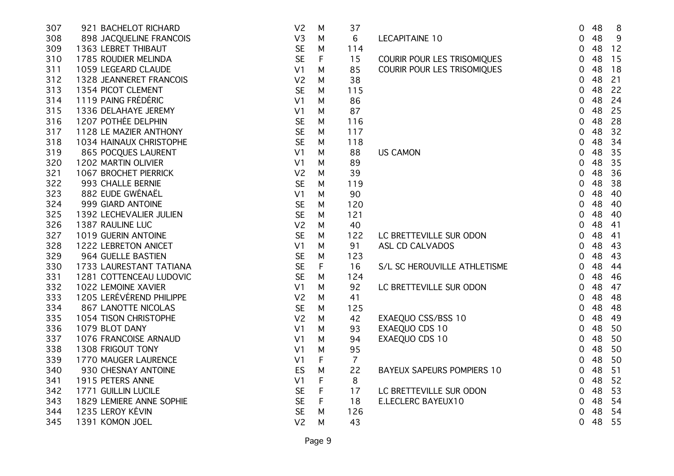| 307 | 921 BACHELOT RICHARD     | V <sub>2</sub> | M           | 37             |                                   | 0              | 48 | 8  |
|-----|--------------------------|----------------|-------------|----------------|-----------------------------------|----------------|----|----|
| 308 | 898 JACQUELINE FRANCOIS  | V3             | M           | 6              | <b>LECAPITAINE 10</b>             | 0              | 48 | 9  |
| 309 | 1363 LEBRET THIBAUT      | <b>SE</b>      | M           | 114            |                                   | 0              | 48 | 12 |
| 310 | 1785 ROUDIER MELINDA     | <b>SE</b>      | F           | 15             | COURIR POUR LES TRISOMIQUES       | 0              | 48 | 15 |
| 311 | 1059 LEGEARD CLAUDE      | V <sub>1</sub> | М           | 85             | COURIR POUR LES TRISOMIQUES       | 0              | 48 | 18 |
| 312 | 1328 JEANNERET FRANCOIS  | V <sub>2</sub> | М           | 38             |                                   | 0              | 48 | 21 |
| 313 | 1354 PICOT CLEMENT       | <b>SE</b>      | M           | 115            |                                   | 0              | 48 | 22 |
| 314 | 1119 PAING FRÉDÉRIC      | V <sub>1</sub> | M           | 86             |                                   | 0              | 48 | 24 |
| 315 | 1336 DELAHAYE JEREMY     | V <sub>1</sub> | M           | 87             |                                   | 0              | 48 | 25 |
| 316 | 1207 POTHÉE DELPHIN      | <b>SE</b>      | M           | 116            |                                   | 0              | 48 | 28 |
| 317 | 1128 LE MAZIER ANTHONY   | <b>SE</b>      | M           | 117            |                                   | 0              | 48 | 32 |
| 318 | 1034 HAINAUX CHRISTOPHE  | <b>SE</b>      | M           | 118            |                                   | 0              | 48 | 34 |
| 319 | 865 POCQUES LAURENT      | V <sub>1</sub> | M           | 88             | <b>US CAMON</b>                   | 0              | 48 | 35 |
| 320 | 1202 MARTIN OLIVIER      | V <sub>1</sub> | M           | 89             |                                   | 0              | 48 | 35 |
| 321 | 1067 BROCHET PIERRICK    | V <sub>2</sub> | M           | 39             |                                   | 0              | 48 | 36 |
| 322 | 993 CHALLE BERNIE        | <b>SE</b>      | M           | 119            |                                   | 0              | 48 | 38 |
| 323 | 882 EUDE GWÉNAËL         | V <sub>1</sub> | М           | 90             |                                   | 0              | 48 | 40 |
| 324 | 999 GIARD ANTOINE        | <b>SE</b>      | M           | 120            |                                   | 0              | 48 | 40 |
| 325 | 1392 LECHEVALIER JULIEN  | <b>SE</b>      | M           | 121            |                                   | 0              | 48 | 40 |
| 326 | 1387 RAULINE LUC         | V <sub>2</sub> | M           | 40             |                                   | 0              | 48 | 41 |
| 327 | 1019 GUERIN ANTOINE      | <b>SE</b>      | M           | 122            | LC BRETTEVILLE SUR ODON           | 0              | 48 | 41 |
| 328 | 1222 LEBRETON ANICET     | V <sub>1</sub> | M           | 91             | ASL CD CALVADOS                   | $\overline{0}$ | 48 | 43 |
| 329 | 964 GUELLE BASTIEN       | <b>SE</b>      | M           | 123            |                                   | $\overline{0}$ | 48 | 43 |
| 330 | 1733 LAURESTANT TATIANA  | <b>SE</b>      | $\mathsf F$ | 16             | S/L SC HEROUVILLE ATHLETISME      | $\overline{0}$ | 48 | 44 |
| 331 | 1281 COTTENCEAU LUDOVIC  | <b>SE</b>      | M           | 124            |                                   | $\overline{0}$ | 48 | 46 |
| 332 | 1022 LEMOINE XAVIER      | V <sub>1</sub> | M           | 92             | LC BRETTEVILLE SUR ODON           | $\overline{0}$ | 48 | 47 |
| 333 | 1205 LERÉVÉREND PHILIPPE | V <sub>2</sub> | M           | 41             |                                   | 0              | 48 | 48 |
| 334 | 867 LANOTTE NICOLAS      | <b>SE</b>      | M           | 125            |                                   | 0              | 48 | 48 |
| 335 | 1054 TISON CHRISTOPHE    | V <sub>2</sub> | M           | 42             | EXAEQUO CSS/BSS 10                | 0              | 48 | 49 |
| 336 | 1079 BLOT DANY           | V <sub>1</sub> | M           | 93             | EXAEQUO CDS 10                    | $\mathbf 0$    | 48 | 50 |
| 337 | 1076 FRANCOISE ARNAUD    | V <sub>1</sub> | M           | 94             | EXAEQUO CDS 10                    | 0              | 48 | 50 |
| 338 | 1308 FRIGOUT TONY        | V <sub>1</sub> | M           | 95             |                                   | 0              | 48 | 50 |
| 339 | 1770 MAUGER LAURENCE     | V <sub>1</sub> | F           | $\overline{7}$ |                                   | $\overline{0}$ | 48 | 50 |
| 340 | 930 CHESNAY ANTOINE      | ES             | M           | 22             | <b>BAYEUX SAPEURS POMPIERS 10</b> | $\mathbf 0$    | 48 | 51 |
| 341 | 1915 PETERS ANNE         | V <sub>1</sub> | $\mathsf F$ | 8              |                                   | $\overline{0}$ | 48 | 52 |
| 342 | 1771 GUILLIN LUCILE      | <b>SE</b>      | F           | 17             | LC BRETTEVILLE SUR ODON           | $\overline{0}$ | 48 | 53 |
| 343 | 1829 LEMIERE ANNE SOPHIE | <b>SE</b>      | F           | 18             | E.LECLERC BAYEUX10                | $\overline{0}$ | 48 | 54 |
| 344 | 1235 LEROY KÉVIN         | <b>SE</b>      | M           | 126            |                                   | 0              | 48 | 54 |
| 345 | 1391 KOMON JOEL          | V <sub>2</sub> | M           | 43             |                                   | 0              | 48 | 55 |
|     |                          |                |             |                |                                   |                |    |    |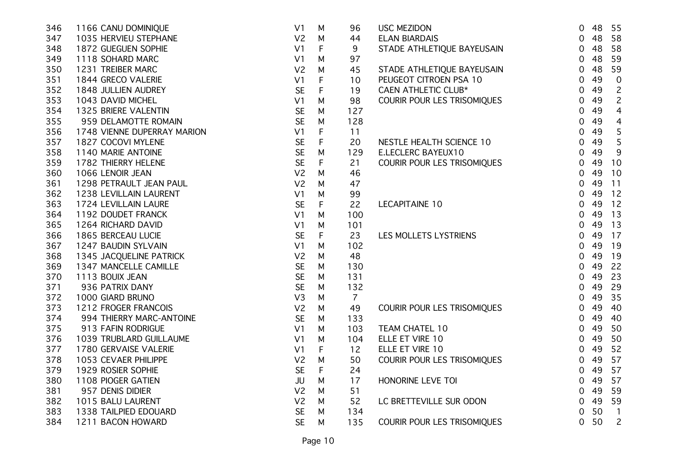| 346 | 1166 CANU DOMINIQUE         | V <sub>1</sub> | M           | 96             | <b>USC MEZIDON</b>          | $\overline{0}$ | 48 | 55                       |
|-----|-----------------------------|----------------|-------------|----------------|-----------------------------|----------------|----|--------------------------|
| 347 | 1035 HERVIEU STEPHANE       | V <sub>2</sub> | M           | 44             | <b>ELAN BIARDAIS</b>        | $\overline{0}$ | 48 | 58                       |
| 348 | 1872 GUEGUEN SOPHIE         | V <sub>1</sub> | F           | 9              | STADE ATHLETIQUE BAYEUSAIN  | 0              | 48 | 58                       |
| 349 | 1118 SOHARD MARC            | V <sub>1</sub> | М           | 97             |                             | $\overline{0}$ | 48 | 59                       |
| 350 | 1231 TREIBER MARC           | V <sub>2</sub> | М           | 45             | STADE ATHLETIQUE BAYEUSAIN  | $\overline{0}$ | 48 | 59                       |
| 351 | 1844 GRECO VALERIE          | V <sub>1</sub> | F           | 10             | PEUGEOT CITROEN PSA 10      | 0              | 49 | $\pmb{0}$                |
| 352 | 1848 JULLIEN AUDREY         | <b>SE</b>      | F           | 19             | <b>CAEN ATHLETIC CLUB*</b>  | 0              | 49 | $\overline{c}$           |
| 353 | 1043 DAVID MICHEL           | V <sub>1</sub> | M           | 98             | COURIR POUR LES TRISOMIQUES | 0              | 49 | $\overline{c}$           |
| 354 | 1325 BRIERE VALENTIN        | <b>SE</b>      | M           | 127            |                             | 0              | 49 | $\overline{4}$           |
| 355 | 959 DELAMOTTE ROMAIN        | <b>SE</b>      | M           | 128            |                             | $\overline{0}$ | 49 | $\overline{4}$           |
| 356 | 1748 VIENNE DUPERRAY MARION | V <sub>1</sub> | F           | 11             |                             | $\overline{0}$ | 49 | $\mathsf S$              |
| 357 | 1827 COCOVI MYLENE          | <b>SE</b>      | $\mathsf F$ | 20             | NESTLE HEALTH SCIENCE 10    | $\overline{0}$ | 49 | $\mathsf S$              |
| 358 | 1140 MARIE ANTOINE          | <b>SE</b>      | M           | 129            | <b>E.LECLERC BAYEUX10</b>   | $\overline{0}$ | 49 | 9                        |
| 359 | 1782 THIERRY HELENE         | <b>SE</b>      | $\mathsf F$ | 21             | COURIR POUR LES TRISOMIQUES | 0              | 49 | 10                       |
| 360 | 1066 LENOIR JEAN            | V <sub>2</sub> | M           | 46             |                             | $\overline{0}$ | 49 | 10                       |
| 361 | 1298 PETRAULT JEAN PAUL     | V <sub>2</sub> | M           | 47             |                             | $\mathbf 0$    | 49 | 11                       |
| 362 | 1238 LEVILLAIN LAURENT      | V <sub>1</sub> | М           | 99             |                             | $\mathbf 0$    | 49 | 12                       |
| 363 | 1724 LEVILLAIN LAURE        | <b>SE</b>      | F           | 22             | LECAPITAINE 10              | $\mathbf 0$    | 49 | 12                       |
| 364 | 1192 DOUDET FRANCK          | V <sub>1</sub> | M           | 100            |                             | 0              | 49 | 13                       |
| 365 | 1264 RICHARD DAVID          | V <sub>1</sub> | M           | 101            |                             | 0              | 49 | 13                       |
| 366 | 1865 BERCEAU LUCIE          | <b>SE</b>      | $\mathsf F$ | 23             | LES MOLLETS LYSTRIENS       | $\overline{0}$ | 49 | 17                       |
| 367 | 1247 BAUDIN SYLVAIN         | V <sub>1</sub> | M           | 102            |                             | $\overline{0}$ | 49 | 19                       |
| 368 | 1345 JACQUELINE PATRICK     | V <sub>2</sub> | M           | 48             |                             | $\overline{0}$ | 49 | 19                       |
| 369 | 1347 MANCELLE CAMILLE       | <b>SE</b>      | M           | 130            |                             | $\overline{0}$ | 49 | 22                       |
| 370 | 1113 BOUIX JEAN             | <b>SE</b>      | M           | 131            |                             | $\mathbf 0$    | 49 | 23                       |
| 371 | 936 PATRIX DANY             | <b>SE</b>      | M           | 132            |                             | 0              | 49 | 29                       |
| 372 | 1000 GIARD BRUNO            | V <sub>3</sub> | M           | $\overline{7}$ |                             | $\overline{0}$ | 49 | 35                       |
| 373 | 1212 FROGER FRANCOIS        | V <sub>2</sub> | M           | 49             | COURIR POUR LES TRISOMIQUES | $\overline{0}$ | 49 | 40                       |
| 374 | 994 THIERRY MARC-ANTOINE    | <b>SE</b>      | M           | 133            |                             | 0              | 49 | 40                       |
| 375 | 913 FAFIN RODRIGUE          | V <sub>1</sub> | М           | 103            | TEAM CHATEL 10              | 0              | 49 | 50                       |
| 376 | 1039 TRUBLARD GUILLAUME     | V <sub>1</sub> | M           | 104            | ELLE ET VIRE 10             | 0              | 49 | 50                       |
| 377 | 1780 GERVAISE VALERIE       | V <sub>1</sub> | F           | 12             | ELLE ET VIRE 10             | $\overline{0}$ | 49 | 52                       |
| 378 | 1053 CEVAER PHILIPPE        | V <sub>2</sub> | M           | 50             | COURIR POUR LES TRISOMIQUES | $\overline{0}$ | 49 | 57                       |
| 379 | 1929 ROSIER SOPHIE          | <b>SE</b>      | F           | 24             |                             | $\overline{0}$ | 49 | 57                       |
| 380 | 1108 PIOGER GATIEN          | JU             | M           | 17             | HONORINE LEVE TOI           | $\overline{0}$ | 49 | 57                       |
| 381 | 957 DENIS DIDIER            | V <sub>2</sub> | M           | 51             |                             | $\overline{0}$ | 49 | 59                       |
| 382 | 1015 BALU LAURENT           | V <sub>2</sub> | M           | 52             | LC BRETTEVILLE SUR ODON     | $\overline{0}$ | 49 | 59                       |
| 383 | 1338 TAILPIED EDOUARD       | <b>SE</b>      | M           | 134            |                             | $\overline{0}$ | 50 | $\overline{\phantom{a}}$ |
| 384 | 1211 BACON HOWARD           | <b>SE</b>      | M           | 135            | COURIR POUR LES TRISOMIQUES | $\overline{0}$ | 50 | $\overline{c}$           |
|     |                             |                |             |                |                             |                |    |                          |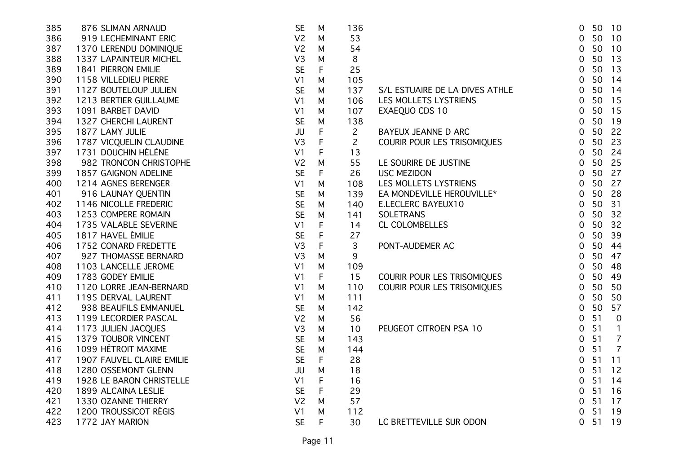| 385 | 876 SLIMAN ARNAUD         | <b>SE</b>      | M           | 136            |                                | 0              |    | 50 10          |
|-----|---------------------------|----------------|-------------|----------------|--------------------------------|----------------|----|----------------|
| 386 | 919 LECHEMINANT ERIC      | V <sub>2</sub> | M           | 53             |                                | 0              | 50 | 10             |
| 387 | 1370 LERENDU DOMINIQUE    | V <sub>2</sub> | M           | 54             |                                | 0              | 50 | 10             |
| 388 | 1337 LAPAINTEUR MICHEL    | V <sub>3</sub> | M           | 8              |                                | $\mathbf 0$    | 50 | 13             |
| 389 | 1841 PIERRON EMILIE       | <b>SE</b>      | F           | 25             |                                | 0              | 50 | 13             |
| 390 | 1158 VILLEDIEU PIERRE     | V <sub>1</sub> | М           | 105            |                                | $\mathbf 0$    | 50 | 14             |
| 391 | 1127 BOUTELOUP JULIEN     | <b>SE</b>      | M           | 137            | S/L ESTUAIRE DE LA DIVES ATHLE | 0              | 50 | 14             |
| 392 | 1213 BERTIER GUILLAUME    | V <sub>1</sub> | M           | 106            | LES MOLLETS LYSTRIENS          | $\mathbf 0$    | 50 | 15             |
| 393 | 1091 BARBET DAVID         | V <sub>1</sub> | M           | 107            | EXAEQUO CDS 10                 | $\mathbf 0$    | 50 | 15             |
| 394 | 1327 CHERCHI LAURENT      | <b>SE</b>      | M           | 138            |                                | $\mathbf 0$    | 50 | 19             |
| 395 | 1877 LAMY JULIE           | <b>JU</b>      | $\mathsf F$ | $\overline{c}$ | BAYEUX JEANNE D ARC            | $\mathbf 0$    | 50 | 22             |
| 396 | 1787 VICQUELIN CLAUDINE   | V <sub>3</sub> | F           | $\mathbf{2}$   | COURIR POUR LES TRISOMIQUES    | $\mathbf 0$    | 50 | 23             |
| 397 | 1731 DOUCHIN HÉLÈNE       | V <sub>1</sub> | F           | 13             |                                | 0              | 50 | 24             |
| 398 | 982 TRONCON CHRISTOPHE    | V <sub>2</sub> | M           | 55             | LE SOURIRE DE JUSTINE          | $\mathbf 0$    | 50 | 25             |
| 399 | 1857 GAIGNON ADELINE      | <b>SE</b>      | F           | 26             | <b>USC MEZIDON</b>             | 0              | 50 | 27             |
| 400 | 1214 AGNES BERENGER       | V <sub>1</sub> | M           | 108            | LES MOLLETS LYSTRIENS          | $\overline{0}$ | 50 | 27             |
| 401 | 916 LAUNAY QUENTIN        | <b>SE</b>      | M           | 139            | EA MONDEVILLE HEROUVILLE*      | $\mathbf 0$    | 50 | 28             |
| 402 | 1146 NICOLLE FREDERIC     | <b>SE</b>      | M           | 140            | E.LECLERC BAYEUX10             | $\mathbf 0$    | 50 | 31             |
| 403 | 1253 COMPERE ROMAIN       | <b>SE</b>      | M           | 141            | <b>SOLETRANS</b>               | $\mathbf 0$    | 50 | 32             |
| 404 | 1735 VALABLE SEVERINE     | V1             | F           | 14             | CL COLOMBELLES                 | $\mathbf 0$    | 50 | 32             |
| 405 | 1817 HAVEL ÉMILIE         | <b>SE</b>      | F           | 27             |                                | $\mathbf 0$    | 50 | 39             |
| 406 | 1752 CONARD FREDETTE      | V <sub>3</sub> | F           | 3              | PONT-AUDEMER AC                | $\mathbf 0$    | 50 | 44             |
| 407 | 927 THOMASSE BERNARD      | V <sub>3</sub> | M           | 9              |                                | $\mathbf 0$    | 50 | 47             |
| 408 | 1103 LANCELLE JEROME      | V <sub>1</sub> | M           | 109            |                                | $\mathbf 0$    | 50 | 48             |
| 409 | 1783 GODEY EMILIE         | V <sub>1</sub> | F           | 15             | COURIR POUR LES TRISOMIQUES    | $\overline{0}$ | 50 | 49             |
| 410 | 1120 LORRE JEAN-BERNARD   | V <sub>1</sub> | M           | 110            | COURIR POUR LES TRISOMIQUES    | $\mathbf 0$    | 50 | 50             |
| 411 | 1195 DERVAL LAURENT       | V <sub>1</sub> | M           | 111            |                                | $\mathbf 0$    | 50 | 50             |
| 412 | 938 BEAUFILS EMMANUEL     | <b>SE</b>      | M           | 142            |                                | 0              | 50 | 57             |
| 413 | 1199 LECORDIER PASCAL     | V <sub>2</sub> | M           | 56             |                                | 0              | 51 | $\mathbf 0$    |
| 414 | 1173 JULIEN JACQUES       | V3             | M           | 10             | PEUGEOT CITROEN PSA 10         | 0              | 51 | $\mathbf{1}$   |
| 415 | 1379 TOUBOR VINCENT       | <b>SE</b>      | M           | 143            |                                | $\mathbf 0$    | 51 | $\overline{7}$ |
| 416 | 1099 HÉTROIT MAXIME       | <b>SE</b>      | M           | 144            |                                | $\mathbf 0$    | 51 | $\overline{7}$ |
| 417 | 1907 FAUVEL CLAIRE EMILIE | <b>SE</b>      | F           | 28             |                                | $\mathbf 0$    | 51 | 11             |
| 418 | 1280 OSSEMONT GLENN       | JU             | M           | 18             |                                | 0              | 51 | 12             |
| 419 | 1928 LE BARON CHRISTELLE  | V <sub>1</sub> | F           | 16             |                                | $\mathbf 0$    | 51 | 14             |
| 420 | 1899 ALCAINA LESLIE       | <b>SE</b>      | F           | 29             |                                | $\mathbf 0$    | 51 | 16             |
| 421 | 1330 OZANNE THIERRY       | V <sub>2</sub> | M           | 57             |                                | $\mathbf 0$    | 51 | 17             |
| 422 | 1200 TROUSSICOT RÉGIS     | V <sub>1</sub> | M           | 112            |                                | 0              | 51 | 19             |
| 423 | 1772 JAY MARION           | <b>SE</b>      | F           | 30             | LC BRETTEVILLE SUR ODON        | 0              | 51 | 19             |
|     |                           |                |             |                |                                |                |    |                |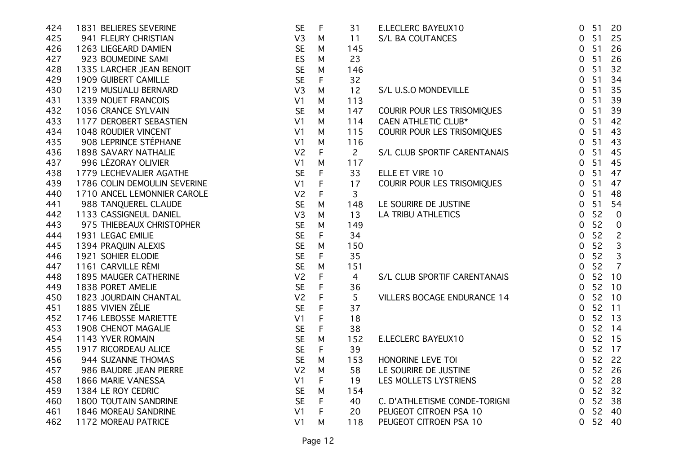| 424 | 1831 BELIERES SEVERINE       | <b>SE</b>      | $\mathsf F$ | 31             | E.LECLERC BAYEUX10                 | 51<br>0                 | 20             |
|-----|------------------------------|----------------|-------------|----------------|------------------------------------|-------------------------|----------------|
| 425 | 941 FLEURY CHRISTIAN         | V3             | M           | 11             | S/L BA COUTANCES                   | 51<br>$\mathbf 0$       | 25             |
| 426 | 1263 LIEGEARD DAMIEN         | <b>SE</b>      | M           | 145            |                                    | 51<br>$\mathbf 0$       | 26             |
| 427 | 923 BOUMEDINE SAMI           | <b>ES</b>      | M           | 23             |                                    | 51<br>0                 | 26             |
| 428 | 1335 LARCHER JEAN BENOIT     | <b>SE</b>      | M           | 146            |                                    | 51<br>0                 | 32             |
| 429 | 1909 GUIBERT CAMILLE         | <b>SE</b>      | F           | 32             |                                    | 51<br>0                 | 34             |
| 430 | 1219 MUSUALU BERNARD         | V <sub>3</sub> | M           | 12             | S/L U.S.O MONDEVILLE               | 51<br>$\overline{0}$    | 35             |
| 431 | 1339 NOUET FRANCOIS          | V <sub>1</sub> | M           | 113            |                                    | 51<br>$\overline{0}$    | 39             |
| 432 | 1056 CRANCE SYLVAIN          | <b>SE</b>      | M           | 147            | COURIR POUR LES TRISOMIQUES        | 51<br>$\overline{0}$    | 39             |
| 433 | 1177 DEROBERT SEBASTIEN      | V <sub>1</sub> | M           | 114            | <b>CAEN ATHLETIC CLUB*</b>         | 51<br>$\mathbf 0$       | 42             |
| 434 | 1048 ROUDIER VINCENT         | V <sub>1</sub> | M           | 115            | COURIR POUR LES TRISOMIQUES        | 51<br>$\mathbf 0$       | 43             |
| 435 | 908 LEPRINCE STÉPHANE        | V <sub>1</sub> | M           | 116            |                                    | 51<br>$\overline{0}$    | 43             |
| 436 | 1898 SAVARY NATHALIE         | V <sub>2</sub> | F           | $\overline{2}$ | S/L CLUB SPORTIF CARENTANAIS       | 51<br>$\overline{0}$    | 45             |
| 437 | 996 LÉZORAY OLIVIER          | V <sub>1</sub> | M           | 117            |                                    | 51<br>$\overline{0}$    | 45             |
| 438 | 1779 LECHEVALIER AGATHE      | <b>SE</b>      | F           | 33             | ELLE ET VIRE 10                    | 51<br>$\overline{0}$    | 47             |
| 439 | 1786 COLIN DEMOULIN SEVERINE | V <sub>1</sub> | F           | 17             | COURIR POUR LES TRISOMIQUES        | 51<br>$\mathbf 0$       | 47             |
| 440 | 1710 ANCEL LEMONNIER CAROLE  | V <sub>2</sub> | F           | 3              |                                    | 51<br>0                 | 48             |
| 441 | 988 TANQUEREL CLAUDE         | <b>SE</b>      | M           | 148            | LE SOURIRE DE JUSTINE              | 51<br>$\mathbf 0$       | 54             |
| 442 | 1133 CASSIGNEUL DANIEL       | V <sub>3</sub> | M           | 13             | <b>LA TRIBU ATHLETICS</b>          | 52<br>$\mathbf 0$       | $\overline{0}$ |
| 443 | 975 THIEBEAUX CHRISTOPHER    | <b>SE</b>      | M           | 149            |                                    | 52<br>0                 | $\mathbf 0$    |
| 444 | 1931 LEGAC EMILIE            | <b>SE</b>      | F.          | 34             |                                    | 52<br>$\mathbf 0$       | $\overline{c}$ |
| 445 | 1394 PRAQUIN ALEXIS          | <b>SE</b>      | M           | 150            |                                    | 52<br>0                 | $\mathbf{3}$   |
| 446 | 1921 SOHIER ELODIE           | <b>SE</b>      | F           | 35             |                                    | 52<br>0                 | $\mathbf{3}$   |
| 447 | 1161 CARVILLE RÉMI           | <b>SE</b>      | M           | 151            |                                    | 52<br>$\mathbf 0$       | $\overline{7}$ |
| 448 | 1895 MAUGER CATHERINE        | V <sub>2</sub> | F           | $\overline{4}$ | S/L CLUB SPORTIF CARENTANAIS       | 52<br>10<br>$\mathbf 0$ |                |
| 449 | 1838 PORET AMELIE            | <b>SE</b>      | F           | 36             |                                    | 52<br>10<br>$\mathbf 0$ |                |
| 450 | 1823 JOURDAIN CHANTAL        | V <sub>2</sub> | F           | 5              | <b>VILLERS BOCAGE ENDURANCE 14</b> | 52 10<br>$\mathbf 0$    |                |
| 451 | 1885 VIVIEN ZÉLIE            | <b>SE</b>      | F           | 37             |                                    | 52 11<br>$\mathbf 0$    |                |
| 452 | 1746 LEBOSSE MARIETTE        | V <sub>1</sub> | F           | 18             |                                    | 52 13<br>$\mathbf 0$    |                |
| 453 | 1908 CHENOT MAGALIE          | <b>SE</b>      | F           | 38             |                                    | 52<br>14<br>$\mathbf 0$ |                |
| 454 | 1143 YVER ROMAIN             | <b>SE</b>      | M           | 152            | E.LECLERC BAYEUX10                 | 52 15<br>$\mathbf 0$    |                |
| 455 | 1917 RICORDEAU ALICE         | <b>SE</b>      | F           | 39             |                                    | 52 17<br>$\mathbf 0$    |                |
| 456 | 944 SUZANNE THOMAS           | <b>SE</b>      | M           | 153            | HONORINE LEVE TOI                  | 52 22<br>$\overline{0}$ |                |
| 457 | 986 BAUDRE JEAN PIERRE       | V <sub>2</sub> | M           | 58             | LE SOURIRE DE JUSTINE              | 52 26<br>$\mathbf 0$    |                |
| 458 | 1866 MARIE VANESSA           | V <sub>1</sub> | F           | 19             | LES MOLLETS LYSTRIENS              | 52 28<br>$\mathbf 0$    |                |
| 459 | 1384 LE ROY CEDRIC           | <b>SE</b>      | M           | 154            |                                    | 52 32<br>$\mathbf 0$    |                |
| 460 | <b>1800 TOUTAIN SANDRINE</b> | <b>SE</b>      | F           | 40             | C. D'ATHLETISME CONDE-TORIGNI      | 52 38<br>$\overline{0}$ |                |
| 461 | 1846 MOREAU SANDRINE         | V <sub>1</sub> | F           | 20             | PEUGEOT CITROEN PSA 10             | 52 40<br>$\overline{0}$ |                |
| 462 | 1172 MOREAU PATRICE          | V <sub>1</sub> | M           | 118            | PEUGEOT CITROEN PSA 10             | 52 40<br>$\overline{0}$ |                |
|     |                              |                |             |                |                                    |                         |                |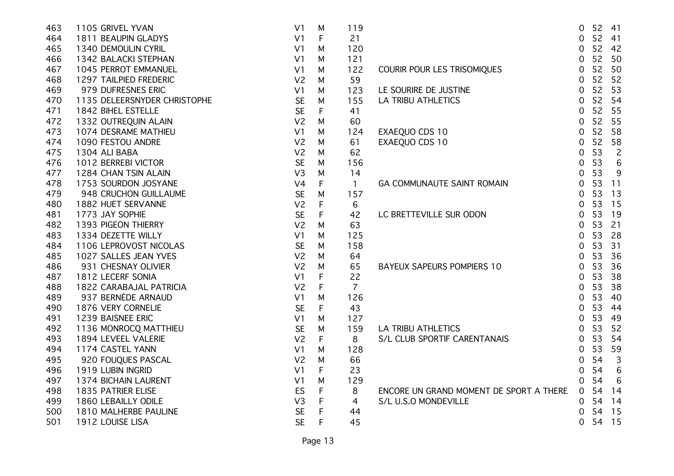| 463 | 1105 GRIVEL YVAN             | V <sub>1</sub> | M           | 119            |                                         | $\overline{0}$ | 52 41 |                 |
|-----|------------------------------|----------------|-------------|----------------|-----------------------------------------|----------------|-------|-----------------|
| 464 | 1811 BEAUPIN GLADYS          | V <sub>1</sub> | $\mathsf F$ | 21             |                                         | $\overline{0}$ | 52    | 41              |
| 465 | 1340 DEMOULIN CYRIL          | V <sub>1</sub> | M           | 120            |                                         | $\overline{0}$ | 52    | -42             |
| 466 | 1342 BALACKI STEPHAN         | V <sub>1</sub> | M           | 121            |                                         | $\overline{0}$ | 52    | 50              |
| 467 | 1045 PERROT EMMANUEL         | V <sub>1</sub> | M           | 122            | COURIR POUR LES TRISOMIQUES             | $\overline{0}$ | 52    | 50              |
| 468 | 1297 TAILPIED FREDERIC       | V <sub>2</sub> | М           | 59             |                                         | $\overline{0}$ | 52    | 52              |
| 469 | 979 DUFRESNES ERIC           | V <sub>1</sub> | М           | 123            | LE SOURIRE DE JUSTINE                   | $\mathbf 0$    | 52    | 53              |
| 470 | 1135 DELEERSNYDER CHRISTOPHE | <b>SE</b>      | M           | 155            | <b>LA TRIBU ATHLETICS</b>               | 0              | 52    | 54              |
| 471 | 1842 BIHEL ESTELLE           | <b>SE</b>      | F           | 41             |                                         | $\overline{0}$ | 52    | 55              |
| 472 | 1332 OUTREQUIN ALAIN         | V <sub>2</sub> | M           | 60             |                                         | $\overline{0}$ | 52    | 55              |
| 473 | 1074 DESRAME MATHIEU         | V <sub>1</sub> | M           | 124            | EXAEQUO CDS 10                          | $\overline{0}$ | 52    | 58              |
| 474 | 1090 FESTOU ANDRE            | V <sub>2</sub> | M           | 61             | EXAEQUO CDS 10                          | $\overline{0}$ | 52    | 58              |
| 475 | 1304 ALI BABA                | V <sub>2</sub> | M           | 62             |                                         | $\mathbf 0$    | 53    | $\overline{c}$  |
| 476 | 1012 BERREBI VICTOR          | <b>SE</b>      | M           | 156            |                                         | $\overline{0}$ | 53    | $6\phantom{1}6$ |
| 477 | 1284 CHAN TSIN ALAIN         | V <sub>3</sub> | M           | 14             |                                         | $\overline{0}$ | 53    | 9               |
| 478 | 1753 SOURDON JOSYANE         | V <sub>4</sub> | F           | $\mathbf{1}$   | GA COMMUNAUTE SAINT ROMAIN              | $\overline{0}$ | 53    | 11              |
| 479 | 948 CRUCHON GUILLAUME        | <b>SE</b>      | M           | 157            |                                         | $\overline{0}$ | 53    | 13              |
| 480 | 1882 HUET SERVANNE           | V <sub>2</sub> | F           | 6              |                                         | $\overline{0}$ | 53    | 15              |
| 481 | 1773 JAY SOPHIE              | <b>SE</b>      | F           | 42             | LC BRETTEVILLE SUR ODON                 | $\overline{0}$ | 53    | 19              |
| 482 | 1393 PIGEON THIERRY          | V <sub>2</sub> | M           | 63             |                                         | $\overline{0}$ | 53    | 21              |
| 483 | 1334 DEZETTE WILLY           | V <sub>1</sub> | M           | 125            |                                         | $\overline{0}$ | 53    | 28              |
| 484 | 1106 LEPROVOST NICOLAS       | <b>SE</b>      | M           | 158            |                                         | $\overline{0}$ | 53    | 31              |
| 485 | 1027 SALLES JEAN YVES        | V <sub>2</sub> | M           | 64             |                                         | $\overline{0}$ | 53    | 36              |
| 486 | 931 CHESNAY OLIVIER          | V <sub>2</sub> | M           | 65             | BAYEUX SAPEURS POMPIERS 10              | $\overline{0}$ | 53    | 36              |
| 487 | 1812 LECERF SONIA            | V <sub>1</sub> | F           | 22             |                                         | $\overline{0}$ | 53    | 38              |
| 488 | 1822 CARABAJAL PATRICIA      | V <sub>2</sub> | F           | $\overline{7}$ |                                         | $\overline{0}$ | 53    | 38              |
| 489 | 937 BERNÈDE ARNAUD           | V <sub>1</sub> | М           | 126            |                                         | $\overline{0}$ | 53    | 40              |
| 490 | 1876 VERY CORNELIE           | <b>SE</b>      | F           | 43             |                                         | $\mathbf 0$    | 53    | 44              |
| 491 | 1239 BAISNEE ERIC            | V <sub>1</sub> | M           | 127            |                                         | $\overline{0}$ | 53    | 49              |
| 492 | 1136 MONROCQ MATTHIEU        | <b>SE</b>      | M           | 159            | <b>LA TRIBU ATHLETICS</b>               | $\overline{0}$ | 53    | 52              |
| 493 | 1894 LEVEEL VALERIE          | V <sub>2</sub> | F           | 8              | S/L CLUB SPORTIF CARENTANAIS            | $\overline{0}$ | 53    | 54              |
| 494 | 1174 CASTEL YANN             | V <sub>1</sub> | M           | 128            |                                         | $\overline{0}$ | 53    | 59              |
| 495 | 920 FOUQUES PASCAL           | V <sub>2</sub> | M           | 66             |                                         | $\overline{0}$ | 54    | $\mathbf{3}$    |
| 496 | 1919 LUBIN INGRID            | V <sub>1</sub> | F           | 23             |                                         | 0              | 54    | $6\phantom{1}6$ |
| 497 | 1374 BICHAIN LAURENT         | V <sub>1</sub> | M           | 129            |                                         | 0              | 54    | 6               |
| 498 | 1835 PATRIER ELISE           | ES             | F           | 8              | ENCORE UN GRAND MOMENT DE SPORT A THERE | $\overline{O}$ | 54    | 14              |
| 499 | 1860 LEBAILLY ODILE          | V <sub>3</sub> | F           | 4              | S/L U.S.O MONDEVILLE                    | $\overline{0}$ | 54    | 14              |
| 500 | 1810 MALHERBE PAULINE        | <b>SE</b>      | F           | 44             |                                         | 0              | 54    | 15              |
| 501 | 1912 LOUISE LISA             | <b>SE</b>      | F           | 45             |                                         | 0              | 54    | 15              |
|     |                              |                |             |                |                                         |                |       |                 |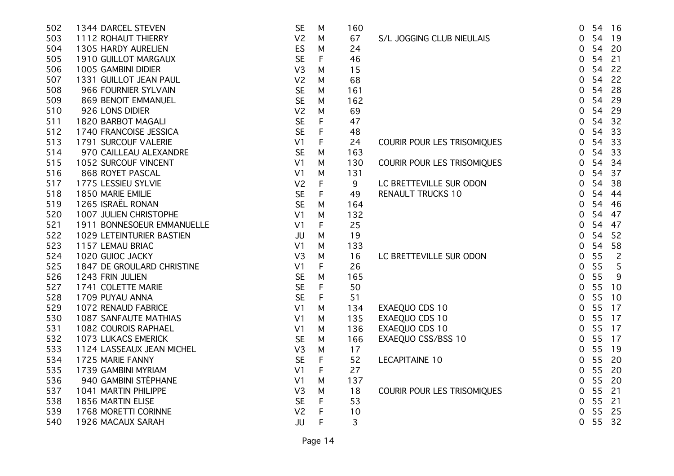| 502 | 1344 DARCEL STEVEN         | <b>SE</b>      | M            | 160 |                             | 54<br>16<br>0              |
|-----|----------------------------|----------------|--------------|-----|-----------------------------|----------------------------|
| 503 | 1112 ROHAUT THIERRY        | V <sub>2</sub> | M            | 67  | S/L JOGGING CLUB NIEULAIS   | 54<br>19<br>0              |
| 504 | 1305 HARDY AURELIEN        | ES             | M            | 24  |                             | 54<br>20<br>0              |
| 505 | 1910 GUILLOT MARGAUX       | <b>SE</b>      | F            | 46  |                             | 54<br>21<br>0              |
| 506 | 1005 GAMBINI DIDIER        | V <sub>3</sub> | M            | 15  |                             | 54<br>22<br>0              |
| 507 | 1331 GUILLOT JEAN PAUL     | V <sub>2</sub> | M            | 68  |                             | 54<br>22<br>0              |
| 508 | 966 FOURNIER SYLVAIN       | <b>SE</b>      | M            | 161 |                             | 54<br>28<br>0              |
| 509 | 869 BENOIT EMMANUEL        | <b>SE</b>      | M            | 162 |                             | 54<br>29<br>0              |
| 510 | 926 LONS DIDIER            | V <sub>2</sub> | M            | 69  |                             | 54<br>29<br>$\mathbf 0$    |
| 511 | 1820 BARBOT MAGALI         | <b>SE</b>      | F            | 47  |                             | 54<br>32<br>0              |
| 512 | 1740 FRANCOISE JESSICA     | <b>SE</b>      | F            | 48  |                             | 54<br>33<br>0              |
| 513 | 1791 SURCOUF VALERIE       | V <sub>1</sub> | F            | 24  | COURIR POUR LES TRISOMIQUES | 33<br>54<br>0              |
| 514 | 970 CAILLEAU ALEXANDRE     | <b>SE</b>      | M            | 163 |                             | 54<br>33<br>0              |
| 515 | 1052 SURCOUF VINCENT       | V <sub>1</sub> | M            | 130 | COURIR POUR LES TRISOMIQUES | 54<br>34<br>0              |
| 516 | 868 ROYET PASCAL           | V <sub>1</sub> | M            | 131 |                             | 37<br>54<br>0              |
| 517 | 1775 LESSIEU SYLVIE        | V <sub>2</sub> | F            | 9   | LC BRETTEVILLE SUR ODON     | 54<br>38<br>0              |
| 518 | 1850 MARIE EMILIE          | <b>SE</b>      | F            | 49  | <b>RENAULT TRUCKS 10</b>    | 54<br>0<br>44              |
| 519 | 1265 ISRAËL RONAN          | <b>SE</b>      | M            | 164 |                             | 54<br>46<br>0              |
| 520 | 1007 JULIEN CHRISTOPHE     | V <sub>1</sub> | M            | 132 |                             | 54<br>47<br>0              |
| 521 | 1911 BONNESOEUR EMMANUELLE | V <sub>1</sub> | F            | 25  |                             | 54<br>47<br>0              |
| 522 | 1029 LETEINTURIER BASTIEN  | JU             | M            | 19  |                             | 54<br>52<br>0              |
| 523 | 1157 LEMAU BRIAC           | V <sub>1</sub> | M            | 133 |                             | 54<br>58<br>0              |
| 524 | 1020 GUIOC JACKY           | V <sub>3</sub> | M            | 16  | LC BRETTEVILLE SUR ODON     | 55<br>$\overline{c}$<br>0  |
| 525 | 1847 DE GROULARD CHRISTINE | V <sub>1</sub> | $\mathsf F$  | 26  |                             | 55<br>5<br>0               |
| 526 | 1243 FRIN JULIEN           | <b>SE</b>      | M            | 165 |                             | 55<br>9<br>0               |
| 527 | 1741 COLETTE MARIE         | <b>SE</b>      | F            | 50  |                             | 55<br>10<br>0              |
| 528 | 1709 PUYAU ANNA            | <b>SE</b>      | F            | 51  |                             | 55<br>10<br>0              |
| 529 | 1072 RENAUD FABRICE        | V <sub>1</sub> | M            | 134 | EXAEQUO CDS 10              | 55<br>17<br>0              |
| 530 | 1087 SANFAUTE MATHIAS      | V <sub>1</sub> | M            | 135 | EXAEQUO CDS 10              | 55<br>17<br>0              |
| 531 | 1082 COUROIS RAPHAEL       | V <sub>1</sub> | M            | 136 | EXAEQUO CDS 10              | 55<br>17<br>0              |
| 532 | 1073 LUKACS EMERICK        | <b>SE</b>      | M            | 166 | EXAEQUO CSS/BSS 10          | 55<br>17<br>$\overline{0}$ |
| 533 | 1124 LASSEAUX JEAN MICHEL  | V3             | M            | 17  |                             | 55<br>19<br>0              |
| 534 | 1725 MARIE FANNY           | <b>SE</b>      | F            | 52  | <b>LECAPITAINE 10</b>       | 55<br>20<br>$\overline{0}$ |
| 535 | 1739 GAMBINI MYRIAM        | V <sub>1</sub> | $\mathsf F$  | 27  |                             | 55<br>0<br>20              |
| 536 | 940 GAMBINI STÉPHANE       | V <sub>1</sub> | M            | 137 |                             | 55<br>20<br>0              |
| 537 | 1041 MARTIN PHILIPPE       | V <sub>3</sub> | M            | 18  | COURIR POUR LES TRISOMIQUES | 55<br>21<br>0              |
| 538 | 1856 MARTIN ELISE          | <b>SE</b>      | $\mathsf{F}$ | 53  |                             | 55<br>21<br>0              |
| 539 | 1768 MORETTI CORINNE       | V <sub>2</sub> | F            | 10  |                             | 55<br>25<br>0              |
| 540 | 1926 MACAUX SARAH          | JU             | F            | 3   |                             | 55<br>32<br>0              |
|     |                            |                |              |     |                             |                            |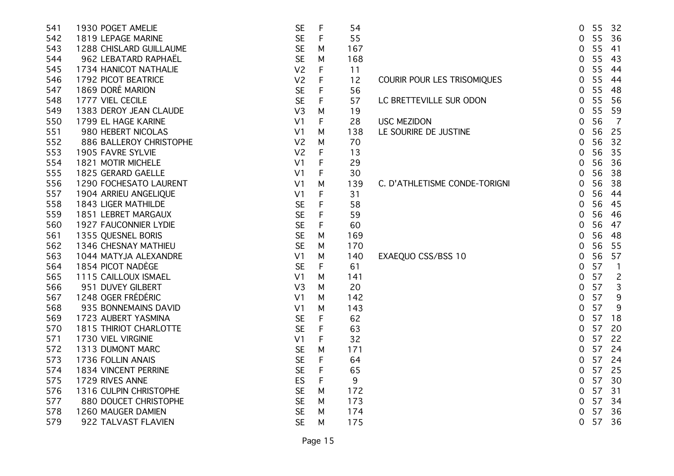| 541 | 1930 POGET AMELIE             | <b>SE</b>      | $\mathsf{F}$ | 54  |                               | 55<br>32<br>0                        |
|-----|-------------------------------|----------------|--------------|-----|-------------------------------|--------------------------------------|
| 542 | 1819 LEPAGE MARINE            | <b>SE</b>      | $\mathsf{F}$ | 55  |                               | 36<br>0<br>55                        |
| 543 | 1288 CHISLARD GUILLAUME       | <b>SE</b>      | M            | 167 |                               | 55<br>0<br>41                        |
| 544 | 962 LEBATARD RAPHAËL          | <b>SE</b>      | M            | 168 |                               | 43<br>0<br>55                        |
| 545 | 1734 HANICOT NATHALIE         | V <sub>2</sub> | F            | 11  |                               | 0<br>55<br>44                        |
| 546 | 1792 PICOT BEATRICE           | V <sub>2</sub> | F            | 12  | COURIR POUR LES TRISOMIQUES   | 55<br>44<br>0                        |
| 547 | 1869 DORÉ MARION              | <b>SE</b>      | F            | 56  |                               | 55<br>0<br>48                        |
| 548 | 1777 VIEL CECILE              | <b>SE</b>      | F            | 57  | LC BRETTEVILLE SUR ODON       | 55<br>56<br>0                        |
| 549 | 1383 DEROY JEAN CLAUDE        | V <sub>3</sub> | M            | 19  |                               | 55<br>59<br>0                        |
| 550 | 1799 EL HAGE KARINE           | V <sub>1</sub> | F            | 28  | <b>USC MEZIDON</b>            | 56<br>$\overline{7}$<br>0            |
| 551 | 980 HEBERT NICOLAS            | V <sub>1</sub> | M            | 138 | LE SOURIRE DE JUSTINE         | 56<br>25<br>0                        |
| 552 | 886 BALLEROY CHRISTOPHE       | V <sub>2</sub> | M            | 70  |                               | 56<br>32<br>0                        |
| 553 | 1905 FAVRE SYLVIE             | V <sub>2</sub> | F            | 13  |                               | 35<br>$\mathbf 0$<br>56              |
| 554 | 1821 MOTIR MICHELE            | V <sub>1</sub> | F            | 29  |                               | 56<br>36<br>0                        |
| 555 | 1825 GERARD GAELLE            | V <sub>1</sub> | F            | 30  |                               | 56<br>38<br>0                        |
| 556 | 1290 FOCHESATO LAURENT        | V <sub>1</sub> | M            | 139 | C. D'ATHLETISME CONDE-TORIGNI | 56<br>38<br>0                        |
| 557 | 1904 ARRIEU ANGELIQUE         | V <sub>1</sub> | F            | 31  |                               | 56<br>44<br>0                        |
| 558 | 1843 LIGER MATHILDE           | <b>SE</b>      | F            | 58  |                               | 56<br>45<br>0                        |
| 559 | 1851 LEBRET MARGAUX           | <b>SE</b>      | F            | 59  |                               | 56<br>46<br>0                        |
| 560 | 1927 FAUCONNIER LYDIE         | <b>SE</b>      | F            | 60  |                               | 56<br>47<br>0                        |
| 561 | 1355 QUESNEL BORIS            | <b>SE</b>      | M            | 169 |                               | 0<br>56<br>48                        |
| 562 | 1346 CHESNAY MATHIEU          | <b>SE</b>      | M            | 170 |                               | 56<br>55<br>0                        |
| 563 | 1044 MATYJA ALEXANDRE         | V <sub>1</sub> | M            | 140 | EXAEQUO CSS/BSS 10            | 57<br>0<br>56                        |
| 564 | 1854 PICOT NADÈGE             | <b>SE</b>      | F            | 61  |                               | 57<br>$\overline{0}$<br>$\mathbf{1}$ |
| 565 | 1115 CAILLOUX ISMAEL          | V <sub>1</sub> | M            | 141 |                               | 57<br>$\overline{c}$<br>0            |
| 566 | 951 DUVEY GILBERT             | V <sub>3</sub> | M            | 20  |                               | 57<br>$\overline{0}$<br>3            |
| 567 | 1248 OGER FRÉDÉRIC            | V <sub>1</sub> | M            | 142 |                               | 57<br>0<br>9                         |
| 568 | 935 BONNEMAINS DAVID          | V <sub>1</sub> | M            | 143 |                               | 57<br>0<br>9                         |
| 569 | 1723 AUBERT YASMINA           | <b>SE</b>      | F            | 62  |                               | 57<br>18<br>0                        |
| 570 | <b>1815 THIRIOT CHARLOTTE</b> | <b>SE</b>      | F            | 63  |                               | 57<br>20<br>0                        |
| 571 | 1730 VIEL VIRGINIE            | V <sub>1</sub> | F            | 32  |                               | 57<br>22<br>0                        |
| 572 | 1313 DUMONT MARC              | <b>SE</b>      | M            | 171 |                               | 57<br>0<br>24                        |
| 573 | 1736 FOLLIN ANAIS             | <b>SE</b>      | F            | 64  |                               | 57<br>24<br>0                        |
| 574 | 1834 VINCENT PERRINE          | <b>SE</b>      | $\mathsf{F}$ | 65  |                               | 25<br>0<br>57                        |
| 575 | 1729 RIVES ANNE               | <b>ES</b>      | $\mathsf F$  | 9   |                               | 57<br>$\mathbf 0$<br>30              |
| 576 | 1316 CULPIN CHRISTOPHE        | <b>SE</b>      | M            | 172 |                               | 57<br>31<br>0                        |
| 577 | 880 DOUCET CHRISTOPHE         | <b>SE</b>      | M            | 173 |                               | 57<br>$\mathbf 0$<br>- 34            |
| 578 | 1260 MAUGER DAMIEN            | <b>SE</b>      | м            | 174 |                               | 57<br>- 36<br>$\Omega$               |
| 579 | 922 TALVAST FLAVIEN           | <b>SE</b>      | м            | 175 |                               | 57<br>0<br>36                        |
|     |                               |                |              |     |                               |                                      |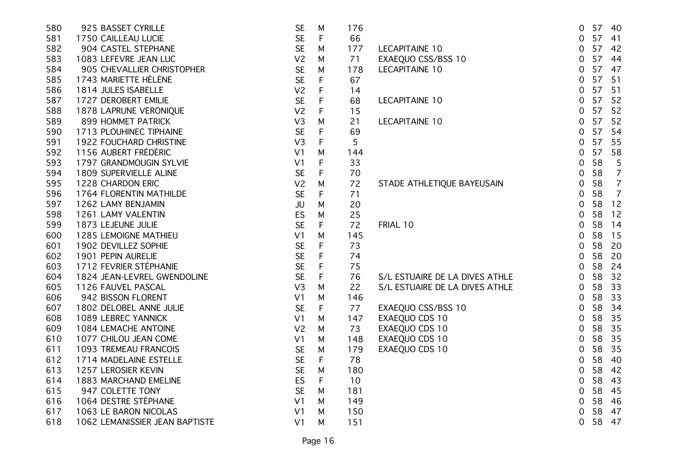| 580 | 925 BASSET CYRILLE             | <b>SE</b>      | М            | 176 |                                | 57 40<br>0           |                |
|-----|--------------------------------|----------------|--------------|-----|--------------------------------|----------------------|----------------|
| 581 | 1750 CAILLEAU LUCIE            | <b>SE</b>      | F            | 66  |                                | 57<br>0              | 41             |
| 582 | 904 CASTEL STEPHANE            | <b>SE</b>      | M            | 177 | <b>LECAPITAINE 10</b>          | 57<br>0              | 42             |
| 583 | 1083 LEFEVRE JEAN LUC          | V <sub>2</sub> | M            | 71  | EXAEQUO CSS/BSS 10             | 57<br>0              | 44             |
| 584 | 905 CHEVALLIER CHRISTOPHER     | <b>SE</b>      | M            | 178 | <b>LECAPITAINE 10</b>          | 57<br>$\overline{0}$ | 47             |
| 585 | 1743 MARIETTE HÉLÈNE           | <b>SE</b>      | $\mathsf{F}$ | 67  |                                | 57<br>0              | 51             |
| 586 | 1814 JULES ISABELLE            | V <sub>2</sub> | F            | 14  |                                | 57<br>0              | 51             |
| 587 | 1727 DEROBERT EMILIE           | <b>SE</b>      | F            | 68  | <b>LECAPITAINE 10</b>          | 57<br>0              | 52             |
| 588 | 1878 LAPRUNE VERONIQUE         | V <sub>2</sub> | $\mathsf F$  | 15  |                                | 57<br>0              | 52             |
| 589 | 899 HOMMET PATRICK             | V <sub>3</sub> | M            | 21  | <b>LECAPITAINE 10</b>          | 57<br>0              | 52             |
| 590 | 1713 PLOUHINEC TIPHAINE        | <b>SE</b>      | $\mathsf F$  | 69  |                                | 57<br>0              | 54             |
| 591 | 1922 FOUCHARD CHRISTINE        | V <sub>3</sub> | $\mathsf{F}$ | 5   |                                | 57<br>0              | 55             |
| 592 | 1156 AUBERT FRÉDÉRIC           | V <sub>1</sub> | M            | 144 |                                | 57<br>0              | 58             |
| 593 | 1797 GRANDMOUGIN SYLVIE        | V <sub>1</sub> | F            | 33  |                                | 58<br>0              | 5              |
| 594 | 1809 SUPERVIELLE ALINE         | <b>SE</b>      | F            | 70  |                                | 58<br>0              | $\overline{7}$ |
| 595 | 1228 CHARDON ERIC              | V <sub>2</sub> | M            | 72  | STADE ATHLETIQUE BAYEUSAIN     | 58<br>0              | $\overline{7}$ |
| 596 | 1764 FLORENTIN MATHILDE        | <b>SE</b>      | F            | 71  |                                | 58<br>0              | $\overline{7}$ |
| 597 | 1262 LAMY BENJAMIN             | JU             | M            | 20  |                                | 58<br>0              | 12             |
| 598 | 1261 LAMY VALENTIN             | ES             | M            | 25  |                                | 58<br>0              | 12             |
| 599 | 1873 LEJEUNE JULIE             | <b>SE</b>      | F            | 72  | FRIAL 10                       | 58<br>0              | 14             |
| 600 | 1285 LEMOIGNE MATHIEU          | V <sub>1</sub> | M            | 145 |                                | 58<br>0              | 15             |
| 601 | 1902 DEVILLEZ SOPHIE           | <b>SE</b>      | $\mathsf{F}$ | 73  |                                | 58<br>0              | -20            |
| 602 | 1901 PEPIN AURELIE             | <b>SE</b>      | $\mathsf F$  | 74  |                                | 58<br>0              | 20             |
| 603 | 1712 FEVRIER STÉPHANIE         | <b>SE</b>      | $\mathsf F$  | 75  |                                | 58<br>0              | 24             |
| 604 | 1824 JEAN-LEVREL GWENDOLINE    | <b>SE</b>      | $\mathsf F$  | 76  | S/L ESTUAIRE DE LA DIVES ATHLE | 58<br>0              | 32             |
| 605 | 1126 FAUVEL PASCAL             | V <sub>3</sub> | M            | 22  | S/L ESTUAIRE DE LA DIVES ATHLE | 58<br>0              | 33             |
| 606 | 942 BISSON FLORENT             | V <sub>1</sub> | M            | 146 |                                | 58<br>0              | 33             |
| 607 | 1802 DELOBEL ANNE JULIE        | <b>SE</b>      | $\mathsf{F}$ | 77  | EXAEQUO CSS/BSS 10             | 58<br>0              | 34             |
| 608 | 1089 LEBREC YANNICK            | V <sub>1</sub> | M            | 147 | EXAEQUO CDS 10                 | 58<br>0              | 35             |
| 609 | 1084 LEMACHE ANTOINE           | V <sub>2</sub> | M            | 73  | EXAEQUO CDS 10                 | 58<br>$\mathbf 0$    | 35             |
| 610 | 1077 CHILOU JEAN COME          | V <sub>1</sub> | M            | 148 | EXAEQUO CDS 10                 | 58<br>$\mathbf 0$    | 35             |
| 611 | 1093 TREMEAU FRANCOIS          | <b>SE</b>      | M            | 179 | EXAEQUO CDS 10                 | 58<br>0              | 35             |
| 612 | 1714 MADELAINE ESTELLE         | <b>SE</b>      | F            | 78  |                                | 58<br>0              | 40             |
| 613 | 1257 LEROSIER KEVIN            | <b>SE</b>      | M            | 180 |                                | 58<br>0              | 42             |
| 614 | 1883 MARCHAND EMELINE          | ES             | F            | 10  |                                | 58<br>0              | 43             |
| 615 | 947 COLETTE TONY               | <b>SE</b>      | M            | 181 |                                | 58<br>0              | 45             |
| 616 | 1064 DESTRE STÉPHANE           | V <sub>1</sub> | M            | 149 |                                | 58<br>0              | -46            |
| 617 | 1063 LE BARON NICOLAS          | V <sub>1</sub> | м            | 150 |                                | 58<br>0              | 47             |
| 618 | 1062 LEMANISSIER JEAN BAPTISTE | V <sub>1</sub> | M            | 151 |                                | 58<br>0              | 47             |
|     |                                |                |              |     |                                |                      |                |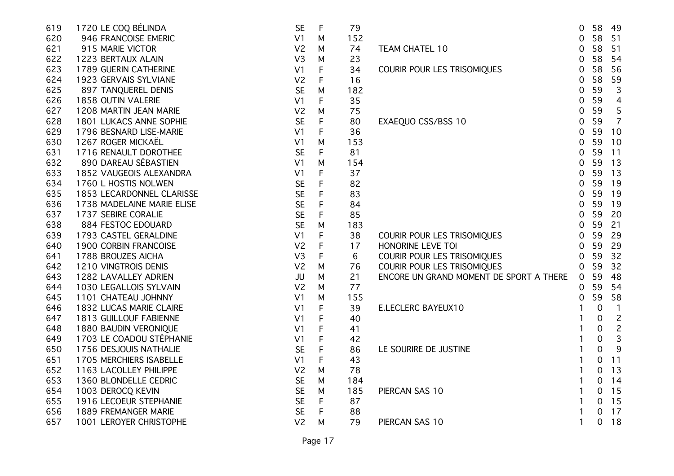| 619 | 1720 LE COQ BÉLINDA        | <b>SE</b>      | $\mathsf F$ | 79  |                                         | $\overline{0}$ | 58          | - 49           |
|-----|----------------------------|----------------|-------------|-----|-----------------------------------------|----------------|-------------|----------------|
| 620 | 946 FRANCOISE EMERIC       | V <sub>1</sub> | M           | 152 |                                         | $\overline{0}$ | 58          | 51             |
| 621 | 915 MARIE VICTOR           | V <sub>2</sub> | M           | 74  | <b>TEAM CHATEL 10</b>                   | $\mathbf 0$    | 58          | 51             |
| 622 | 1223 BERTAUX ALAIN         | V <sub>3</sub> | M           | 23  |                                         | $\overline{0}$ | 58          | 54             |
| 623 | 1789 GUERIN CATHERINE      | V <sub>1</sub> | F           | 34  | COURIR POUR LES TRISOMIQUES             | 0              | 58          | 56             |
| 624 | 1923 GERVAIS SYLVIANE      | V <sub>2</sub> | F           | 16  |                                         | 0              | 58          | 59             |
| 625 | 897 TANQUEREL DENIS        | <b>SE</b>      | M           | 182 |                                         | 0              | 59          | 3              |
| 626 | 1858 OUTIN VALERIE         | V <sub>1</sub> | F           | 35  |                                         | 0              | 59          | 4              |
| 627 | 1208 MARTIN JEAN MARIE     | V <sub>2</sub> | M           | 75  |                                         | $\overline{0}$ | 59          | 5              |
| 628 | 1801 LUKACS ANNE SOPHIE    | <b>SE</b>      | F           | 80  | EXAEQUO CSS/BSS 10                      | $\overline{0}$ | 59          | $\overline{7}$ |
| 629 | 1796 BESNARD LISE-MARIE    | V <sub>1</sub> | $\mathsf F$ | 36  |                                         | $\overline{0}$ | 59          | 10             |
| 630 | 1267 ROGER MICKAËL         | V <sub>1</sub> | M           | 153 |                                         | $\overline{0}$ | 59          | 10             |
| 631 | 1716 RENAULT DOROTHEE      | <b>SE</b>      | F           | 81  |                                         | $\mathbf 0$    | 59          | 11             |
| 632 | 890 DAREAU SÉBASTIEN       | V <sub>1</sub> | M           | 154 |                                         | $\overline{0}$ | 59          | 13             |
| 633 | 1852 VAUGEOIS ALEXANDRA    | V <sub>1</sub> | F           | 37  |                                         | $\overline{0}$ | 59          | 13             |
| 634 | 1760 L HOSTIS NOLWEN       | <b>SE</b>      | F           | 82  |                                         | $\overline{0}$ | 59          | 19             |
| 635 | 1853 LECARDONNEL CLARISSE  | <b>SE</b>      | F           | 83  |                                         | $\overline{0}$ | 59          | 19             |
| 636 | 1738 MADELAINE MARIE ELISE | <b>SE</b>      | F           | 84  |                                         | 0              | 59          | 19             |
| 637 | 1737 SEBIRE CORALIE        | <b>SE</b>      | $\mathsf F$ | 85  |                                         | $\overline{0}$ | 59          | 20             |
| 638 | 884 FESTOC EDOUARD         | <b>SE</b>      | M           | 183 |                                         | $\overline{0}$ | 59          | 21             |
| 639 | 1793 CASTEL GERALDINE      | V <sub>1</sub> | $\mathsf F$ | 38  | COURIR POUR LES TRISOMIQUES             | $\overline{0}$ | 59          | 29             |
| 640 | 1900 CORBIN FRANCOISE      | V <sub>2</sub> | $\mathsf F$ | 17  | HONORINE LEVE TOI                       | $\overline{0}$ | 59          | 29             |
| 641 | 1788 BROUZES AICHA         | V <sub>3</sub> | $\mathsf F$ | 6   | COURIR POUR LES TRISOMIQUES             | $\overline{0}$ | 59          | 32             |
| 642 | 1210 VINGTROIS DENIS       | V <sub>2</sub> | M           | 76  | COURIR POUR LES TRISOMIQUES             | $\overline{0}$ | 59          | 32             |
| 643 | 1282 LAVALLEY ADRIEN       | JU             | M           | 21  | ENCORE UN GRAND MOMENT DE SPORT A THERE | $\overline{0}$ | 59          | 48             |
| 644 | 1030 LEGALLOIS SYLVAIN     | V <sub>2</sub> | M           | 77  |                                         | 0              | 59          | 54             |
| 645 | 1101 CHATEAU JOHNNY        | V <sub>1</sub> | M           | 155 |                                         | 0              | 59          | 58             |
| 646 | 1832 LUCAS MARIE CLAIRE    | V <sub>1</sub> | F           | 39  | E.LECLERC BAYEUX10                      | 1              | $\mathbf 0$ | $\mathbf{1}$   |
| 647 | 1813 GUILLOUF FABIENNE     | V <sub>1</sub> | F           | 40  |                                         |                | 0           | $\overline{c}$ |
| 648 | 1880 BAUDIN VERONIQUE      | V <sub>1</sub> | F           | 41  |                                         |                | 0           | $\overline{c}$ |
| 649 | 1703 LE COADOU STÉPHANIE   | V <sub>1</sub> | F           | 42  |                                         |                | 0           | 3              |
| 650 | 1756 DESJOUIS NATHALIE     | <b>SE</b>      | $\mathsf F$ | 86  | LE SOURIRE DE JUSTINE                   | 1              | 0           | 9              |
| 651 | 1705 MERCHIERS ISABELLE    | V <sub>1</sub> | $\mathsf F$ | 43  |                                         | $\mathbf{1}$   | 0           | 11             |
| 652 | 1163 LACOLLEY PHILIPPE     | V <sub>2</sub> | M           | 78  |                                         | $\mathbf{1}$   | 0           | 13             |
| 653 | 1360 BLONDELLE CEDRIC      | <b>SE</b>      | M           | 184 |                                         | $\mathbf{1}$   | 0           | 14             |
| 654 | 1003 DEROCQ KEVIN          | <b>SE</b>      | M           | 185 | PIERCAN SAS 10                          | $\mathbf{1}$   | 0           | 15             |
| 655 | 1916 LECOEUR STEPHANIE     | <b>SE</b>      | F           | 87  |                                         | $\mathbf{1}$   | 0           | 15             |
| 656 | 1889 FREMANGER MARIE       | <b>SE</b>      | F           | 88  |                                         | 1              | 0           | 17             |
| 657 | 1001 LEROYER CHRISTOPHE    | V <sub>2</sub> | M           | 79  | PIERCAN SAS 10                          | $\mathbf{1}$   | 0           | 18             |
|     |                            |                |             |     |                                         |                |             |                |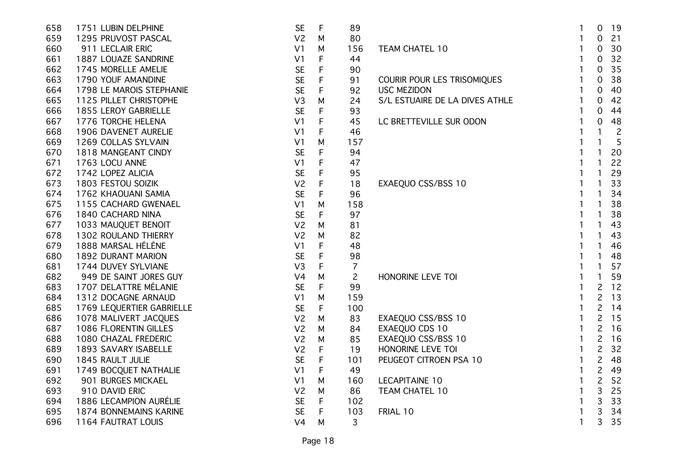| 658 | 1751 LUBIN DELPHINE       | <b>SE</b>      | $\mathsf{F}$ | 89             |                                | 1 | $\mathbf 0$    | 19             |
|-----|---------------------------|----------------|--------------|----------------|--------------------------------|---|----------------|----------------|
| 659 | 1295 PRUVOST PASCAL       | V <sub>2</sub> | M            | 80             |                                |   | $\Omega$       | 21             |
| 660 | 911 LECLAIR ERIC          | V <sub>1</sub> | M            | 156            | TEAM CHATEL 10                 |   | 0              | 30             |
| 661 | 1887 LOUAZE SANDRINE      | V <sub>1</sub> | $\mathsf F$  | 44             |                                |   | 0              | 32             |
| 662 | 1745 MORELLE AMELIE       | <b>SE</b>      | F            | 90             |                                |   | 0              | 35             |
| 663 | 1790 YOUF AMANDINE        | <b>SE</b>      | F            | 91             | COURIR POUR LES TRISOMIQUES    |   | 0              | 38             |
| 664 | 1798 LE MAROIS STEPHANIE  | <b>SE</b>      | $\mathsf F$  | 92             | <b>USC MEZIDON</b>             |   | $\Omega$       | 40             |
| 665 | 1125 PILLET CHRISTOPHE    | V <sub>3</sub> | M            | 24             | S/L ESTUAIRE DE LA DIVES ATHLE |   | 0              | 42             |
| 666 | 1855 LEROY GABRIELLE      | <b>SE</b>      | F            | 93             |                                |   | 0              | 44             |
| 667 | 1776 TORCHE HELENA        | V <sub>1</sub> | F            | 45             | LC BRETTEVILLE SUR ODON        |   | $\mathbf 0$    | 48             |
| 668 | 1906 DAVENET AURELIE      | V <sub>1</sub> | F            | 46             |                                |   | 1              | $\overline{c}$ |
| 669 | 1269 COLLAS SYLVAIN       | V <sub>1</sub> | M            | 157            |                                |   |                | 5              |
| 670 | 1818 MANGEANT CINDY       | <b>SE</b>      | F            | 94             |                                |   |                | 20             |
| 671 | 1763 LOCU ANNE            | V <sub>1</sub> | F            | 47             |                                |   |                | 22             |
| 672 | 1742 LOPEZ ALICIA         | <b>SE</b>      | F            | 95             |                                |   |                | 29             |
| 673 | 1803 FESTOU SOIZIK        | V <sub>2</sub> | $\mathsf{F}$ | 18             | EXAEQUO CSS/BSS 10             |   |                | 33             |
| 674 | 1762 KHAOUANI SAMIA       | <b>SE</b>      | F            | 96             |                                |   |                | 34             |
| 675 | 1155 CACHARD GWENAEL      | V <sub>1</sub> | M            | 158            |                                |   |                | 38             |
| 676 | 1840 CACHARD NINA         | <b>SE</b>      | F            | 97             |                                |   |                | 38             |
| 677 | 1033 MAUQUET BENOIT       | V <sub>2</sub> | M            | 81             |                                |   |                | 43             |
| 678 | 1302 ROULAND THIERRY      | V <sub>2</sub> | M            | 82             |                                |   |                | 43             |
| 679 | 1888 MARSAL HÉLÈNE        | V <sub>1</sub> | $\mathsf F$  | 48             |                                |   |                | 46             |
| 680 | 1892 DURANT MARION        | <b>SE</b>      | $\mathsf F$  | 98             |                                |   |                | 48             |
| 681 | 1744 DUVEY SYLVIANE       | V3             | F            | $\overline{7}$ |                                |   |                | 57             |
| 682 | 949 DE SAINT JORES GUY    | V <sub>4</sub> | M            | $\overline{c}$ | HONORINE LEVE TOI              |   |                | 59             |
| 683 | 1707 DELATTRE MÉLANIE     | <b>SE</b>      | F            | 99             |                                |   | $\overline{c}$ | 12             |
| 684 | 1312 DOCAGNE ARNAUD       | V <sub>1</sub> | M            | 159            |                                |   | $\overline{c}$ | 13             |
| 685 | 1769 LEQUERTIER GABRIELLE | <b>SE</b>      | $\mathsf{F}$ | 100            |                                |   | $\overline{c}$ | 14             |
| 686 | 1078 MALIVERT JACQUES     | V <sub>2</sub> | M            | 83             | EXAEQUO CSS/BSS 10             |   | 2              | 15             |
| 687 | 1086 FLORENTIN GILLES     | V <sub>2</sub> | M            | 84             | EXAEQUO CDS 10                 |   | 2              | 16             |
| 688 | 1080 CHAZAL FREDERIC      | V <sub>2</sub> | M            | 85             | EXAEQUO CSS/BSS 10             | 1 | $\overline{c}$ | 16             |
| 689 | 1893 SAVARY ISABELLE      | V <sub>2</sub> | F            | 19             | HONORINE LEVE TOI              | 1 | $\overline{c}$ | 32             |
| 690 | 1845 RAULT JULIE          | <b>SE</b>      | $\mathsf F$  | 101            | PEUGEOT CITROEN PSA 10         |   | $\overline{c}$ | 48             |
| 691 | 1749 BOCQUET NATHALIE     | V <sub>1</sub> | $\mathsf F$  | 49             |                                |   | $\overline{c}$ | 49             |
| 692 | 901 BURGES MICKAEL        | V <sub>1</sub> | M            | 160            | <b>LECAPITAINE 10</b>          |   | $\overline{c}$ | 52             |
| 693 | 910 DAVID ERIC            | V <sub>2</sub> | M            | 86             | TEAM CHATEL 10                 |   | 3              | 25             |
| 694 | 1886 LECAMPION AURÉLIE    | <b>SE</b>      | F            | 102            |                                |   | 3              | 33             |
| 695 | 1874 BONNEMAINS KARINE    | <b>SE</b>      | F            | 103            | FRIAL 10                       |   | 3              | 34             |
| 696 | 1164 FAUTRAT LOUIS        | V <sub>4</sub> | M            | 3              |                                | 1 | 3              | 35             |
|     |                           |                |              |                |                                |   |                |                |